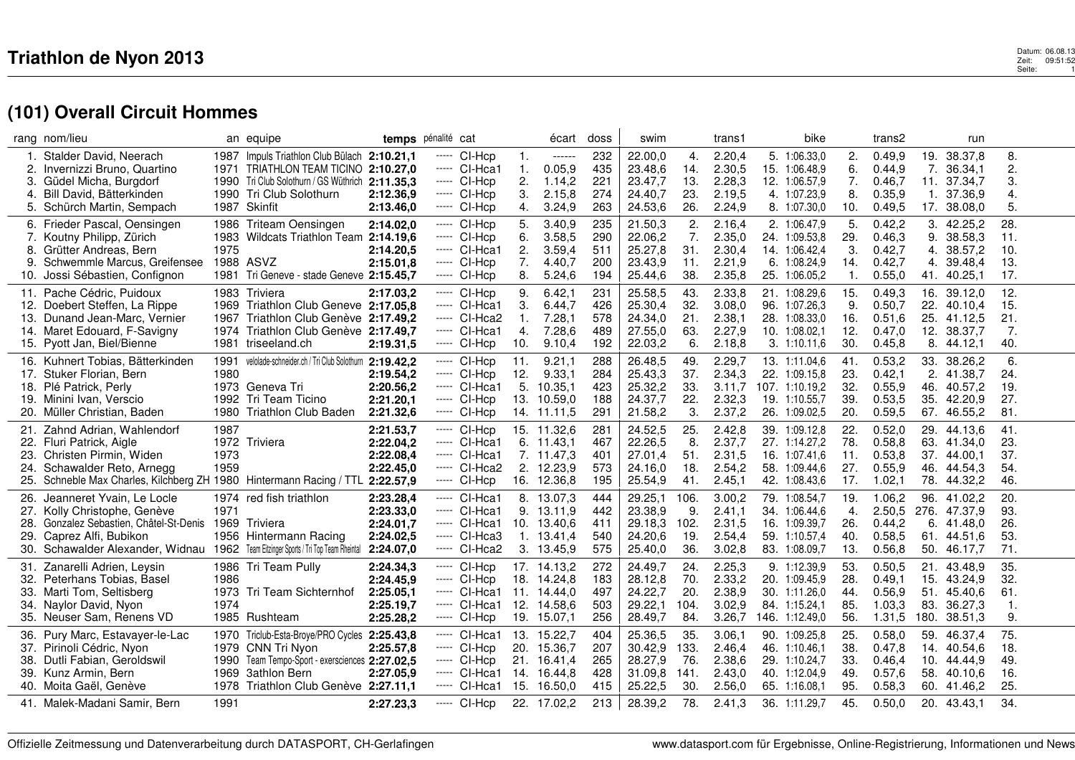|     | rang nom/lieu                                                                   |              | an equipe                                             | temps pénalité cat     |       |                                |           | écart             | doss       | swim               |            | trans1           | bike                            |                | trans2           |      | run                    |                |  |
|-----|---------------------------------------------------------------------------------|--------------|-------------------------------------------------------|------------------------|-------|--------------------------------|-----------|-------------------|------------|--------------------|------------|------------------|---------------------------------|----------------|------------------|------|------------------------|----------------|--|
|     | Stalder David, Neerach                                                          | 1987         | Impuls Triathlon Club Bülach 2:10.21,1                |                        | ----- | CI-Hcp                         | 1.        | ------            | 232        | 22.00,0            | 4.         | 2.20,4           | 5. 1:06.33,0                    | $\mathbf{2}$   | 0.49,9           | 19.  | 38.37,8                | 8.             |  |
|     | 2. Invernizzi Bruno, Quartino                                                   | 1971         | TRIATHLON TEAM TICINO 2:10.27.0                       |                        |       | ----- CI-Hca1                  | 1.        | 0.05,9            | 435        | 23.48,6            | 14.        | 2.30,5           | 15. 1:06.48.9                   | 6.             | 0.44.9           |      | 7. 36.34.1             | 2.             |  |
| 3.  | Güdel Micha, Burgdorf                                                           | 1990         | Tri Club Solothurn / GS Wüthrich 2:11.35,3            |                        |       | $---$ CI-Hcp                   | 2.        | 1.14,2            | 221        | 23.47,7            | 13.        | 2.28,3           | 12. 1:06.57,9                   | 7.             | 0.46,7           |      | 11. 37.34,7            | 3.             |  |
| 4.  | Bill David, Bätterkinden                                                        | 1990         | Tri Club Solothurn                                    | 2:12.36.9              |       | ----- CI-Hcp                   | 3.        | 2.15,8            | 274        | 24.40,7            | 23.        | 2.19,5           | 4. 1:07.23,9                    | 8.             | 0.35,9           | 1.   | 37.36,9                | 4.             |  |
|     | 5. Schürch Martin, Sempach                                                      |              | 1987 Skinfit                                          | 2:13.46,0              |       | $---$ CI-Hcp                   | 4.        | 3.24,9            | 263        | 24.53,6            | 26.        | 2.24,9           | 8. 1:07.30.0                    | 10.            | 0.49,5           |      | 17. 38.08,0            | 5.             |  |
|     | 6. Frieder Pascal, Oensingen                                                    | 1986         | Triteam Oensingen                                     | 2:14.02,0              |       | ----- CI-Hcp                   | 5.        | 3.40,9            | 235        | 21.50,3            | 2.         | 2.16,4           | 2. 1:06.47,9                    | 5.             | 0.42,2           | 3.   | 42.25,2                | 28.            |  |
|     | 7. Koutny Philipp, Zürich                                                       | 1983         | Wildcats Triathlon Team 2:14.19.6                     |                        |       | $---$ CI-Hcp                   | 6.        | 3.58,5            | 290        | 22.06,2            | 7.         | 2.35,0           | 24. 1:09.53,8                   | 29.            | 0.46,3           | 9.   | 38.58,3                | 11.            |  |
| 8.  | Grütter Andreas, Bern                                                           | 1975         |                                                       | 2:14.20,5              |       | ----- CI-Hca1                  | 2.        | 3.59,4            | 511        | 25.27,8            | 31.        | 2.30,4           | 14. 1:06.42,4                   | 3.             | 0.42,7           | 4.   | 38.57,2                | 10.            |  |
| 9.  | Schwemmle Marcus, Greifensee                                                    |              | 1988 ASVZ                                             | 2:15.01,8              |       | ----- CI-Hcp                   | 7.        | 4.40,7            | 200        | 23.43,9            | 11.        | 2.21,9           | 6. 1:08.24,9                    | 14.            | 0.42,7           | 4.   | 39.48,4                | 13.            |  |
|     | Jossi Sébastien, Confignon                                                      |              | 1981 Tri Geneve - stade Geneve 2:15.45,7              |                        |       | ----- CI-Hcp                   | 8.        | 5.24,6            | 194        | 25.44,6            | 38.        | 2.35,8           | 25. 1:06.05,2                   | $\mathbf{1}$ . | 0.55,0           | 41.  | 40.25,1                | 17.            |  |
| 11. | Pache Cédric, Puidoux                                                           |              | 1983 Triviera                                         | 2:17.03.2              |       | ----- CI-Hcp                   | 9.        | 6.42,1            | 231        | 25.58,5            | 43.        | 2.33,8           | 21. 1:08.29,6                   | 15.            | 0.49,3           |      | 16. 39.12,0            | 12.            |  |
| 12. | Doebert Steffen, La Rippe                                                       | 1969         | Triathlon Club Geneve 2:17.05,8                       |                        |       | $---$ CI-Hca1                  | 3.        | 6.44,7            | 426        | 25.30,4            | 32.        | 3.08,0           | 96. 1:07.26,3                   | 9.             | 0.50,7           | 22.  | 40.10.4                | 15.            |  |
| 13. | Dunand Jean-Marc, Vernier                                                       | 1967         | Triathlon Club Genève 2:17.49,2                       |                        |       | ----- CI-Hca2<br>----- CI-Hca1 | 1.<br>4.  | 7.28,1            | 578<br>489 | 24.34,0            | 21.        | 2.38,1           | 28. 1:08.33.0                   | 16.            | 0.51,6           |      | 25. 41.12,5            | 21.            |  |
| 15. | 14. Maret Edouard, F-Savigny<br>Pyott Jan, Biel/Bienne                          | 1981         | 1974 Triathlon Club Genève 2:17.49,7<br>triseeland.ch | 2:19.31,5              |       | $---$ CI-Hcp                   | 10.       | 7.28,6<br>9.10,4  | 192        | 27.55,0<br>22.03,2 | 63.<br>6.  | 2.27,9<br>2.18,8 | 10. 1:08.02,1<br>3.1:10.11.6    | 12.<br>30.     | 0.47,0<br>0.45,8 | 8.   | 12. 38.37,7<br>44.12,1 | 7.<br>40.      |  |
|     |                                                                                 |              |                                                       |                        |       |                                |           |                   |            |                    |            |                  |                                 |                |                  |      |                        |                |  |
|     | 16. Kuhnert Tobias, Bätterkinden<br>Stuker Florian, Bern                        | 1991<br>1980 | velolade-schneider.ch / Tri Club Solothurn 2:19.42,2  |                        |       | ----- CI-Hcp                   | 11.       | 9.21,1            | 288<br>284 | 26.48,5<br>25.43,3 | 49.<br>37. | 2.29,7           | 13. 1:11.04,6                   | 41.            | 0.53,2           |      | 33. 38.26,2            | 6.<br>24.      |  |
| 17. | 18. Plé Patrick, Perly                                                          |              | 1973 Geneva Tri                                       | 2:19.54,2<br>2:20.56,2 |       | $---$ CI-Hcp<br>$---$ CI-Hca1  | 12.<br>5. | 9.33,1<br>10.35,1 | 423        | 25.32,2            | 33.        | 2.34,3<br>3.11.7 | 22. 1:09.15,8<br>107. 1:10.19.2 | 23.<br>32.     | 0.42,1<br>0.55,9 | 46.  | 2. 41.38,7<br>40.57.2  | 19.            |  |
| 19. | Minini Ivan, Verscio                                                            |              | 1992 Tri Team Ticino                                  | 2:21.20,1              |       | ----- CI-Hcp                   |           | 13. 10.59,0       | 188        | 24.37,7            | 22.        | 2.32,3           | 19. 1:10.55,7                   | 39.            | 0.53,5           | 35.  | 42.20,9                | 27.            |  |
| 20. | Müller Christian, Baden                                                         | 1980         | Triathlon Club Baden                                  | 2:21.32,6              |       | ----- CI-Hcp                   |           | 14. 11.11,5       | 291        | 21.58,2            | 3.         | 2.37,2           | 26. 1:09.02,5                   | 20.            | 0.59,5           | 67.  | 46.55,2                | 81.            |  |
| 21. | Zahnd Adrian, Wahlendorf                                                        | 1987         |                                                       | 2:21.53.7              |       | ----- CI-Hcp                   |           | 15. 11.32,6       | 281        | 24.52,5            | 25.        | 2.42,8           | 39. 1:09.12,8                   | 22.            | 0.52,0           | 29.  | 44.13.6                | 41.            |  |
| 22. | Fluri Patrick, Aigle                                                            |              | 1972 Triviera                                         | 2:22.04,2              |       | ----- CI-Hca1                  |           | 6. 11.43,1        | 467        | 22.26,5            | 8.         | 2.37,7           | 27. 1:14.27,2                   | 78.            | 0.58,8           |      | 63. 41.34,0            | 23.            |  |
| 23. | Christen Pirmin, Widen                                                          | 1973         |                                                       | 2:22.08,4              |       | ----- CI-Hca1                  |           | 7. 11.47,3        | 401        | 27.01,4            | 51.        | 2.31,5           | 16. 1:07.41,6                   | 11.            | 0.53,8           |      | 37. 44.00,1            | 37.            |  |
| 24. | Schawalder Reto, Arnegg                                                         | 1959         |                                                       | 2:22.45,0              |       | ----- CI-Hca2                  |           | 2. 12.23,9        | 573        | 24.16,0            | 18.        | 2.54,2           | 58. 1:09.44,6                   | 27.            | 0.55,9           | 46.  | 44.54,3                | 54.            |  |
| 25. | Schneble Max Charles, Kilchberg ZH 1980 Hintermann Racing / TTL 2:22.57,9       |              |                                                       |                        |       | ----- CI-Hcp                   |           | 16. 12.36,8       | 195        | 25.54,9            | 41.        | 2.45,1           | 42. 1:08.43,6                   | 17.            | 1.02,1           |      | 78. 44.32,2            | 46.            |  |
| 26. | Jeanneret Yvain, Le Locle                                                       |              | 1974 red fish triathlon                               | 2:23.28,4              |       | ----- CI-Hca1                  |           | 8. 13.07,3        | 444        | 29.25,1            | 106.       | 3.00,2           | 79. 1:08.54,7                   | 19.            | 1.06,2           |      | 96. 41.02,2            | 20.            |  |
| 27. | Kolly Christophe, Genève                                                        | 1971         |                                                       | 2:23.33,0              |       | $---$ CI-Hca1                  |           | 9. 13.11,9        | 442        | 23.38,9            | 9.         | 2.41,1           | 34. 1:06.44,6                   | 4.             | 2.50,5           | 276. | 47.37,9                | 93.            |  |
| 28. | Gonzalez Sebastien, Châtel-St-Denis                                             | 1969         | Triviera                                              | 2:24.01.7              |       | $---$ CI-Hca1                  |           | 10. 13.40.6       | 411        | 29.18,3            | 102.       | 2.31,5           | 16. 1:09.39,7                   | 26.            | 0.44,2           |      | 6. 41.48.0             | 26.            |  |
| 29. | Caprez Alfi, Bubikon                                                            | 1956         | Hintermann Racing                                     | 2:24.02,5              |       | ----- CI-Hca3                  |           | 1.13.41,4         | 540        | 24.20,6            | 19.        | 2.54,4           | 59. 1:10.57,4                   | 40.            | 0.58,5           | 61.  | 44.51,6                | 53.            |  |
| 30. | Schawalder Alexander, Widnau 1962 Team Eitzinger Sports / Tri Top Team Rheintal |              |                                                       | 2:24.07,0              |       | ----- CI-Hca2                  |           | 3. 13.45,9        | 575        | 25.40,0            | 36.        | 3.02,8           | 83. 1:08.09,7                   | 13.            | 0.56,8           |      | 50. 46.17,7            | 71.            |  |
| 31. | Zanarelli Adrien, Leysin                                                        |              | 1986 Tri Team Pully                                   | 2:24.34,3              |       | ----- CI-Hcp                   |           | 17. 14.13,2       | 272        | 24.49,7            | 24.        | 2.25,3           | 9. 1:12.39,9                    | 53.            | 0.50,5           | 21.  | 43.48,9                | 35.            |  |
| 32. | Peterhans Tobias, Basel                                                         | 1986         |                                                       | 2:24.45,9              |       | $---$ CI-Hcp                   |           | 18. 14.24,8       | 183        | 28.12,8            | 70.        | 2.33,2           | 20. 1:09.45,9                   | 28.            | 0.49,1           |      | 15. 43.24,9            | 32.            |  |
| 33. | Marti Tom, Seltisberg                                                           |              | 1973 Tri Team Sichternhof                             | 2:25.05,1              |       | ----- CI-Hca1                  |           | 11. 14.44,0       | 497        | 24.22,7            | 20.        | 2.38,9           | 30. 1:11.26,0                   | 44.            | 0.56,9           | 51.  | 45.40,6                | 61.            |  |
| 34. | Naylor David, Nyon                                                              | 1974         |                                                       | 2:25.19,7              |       | $---$ CI-Hca1                  |           | 12. 14.58,6       | 503        | 29.22,1            | 104.       | 3.02,9           | 84. 1:15.24,1                   | 85.            | 1.03,3           | 83.  | 36.27,3                | $\mathbf{1}$ . |  |
|     | 35. Neuser Sam, Renens VD                                                       |              | 1985 Rushteam                                         | 2:25.28,2              | ----- | CI-Hcp                         |           | 19. 15.07,1       | 256        | 28.49,7            | 84.        | 3.26,7           | 146. 1:12.49,0                  | 56.            | 1.31,5           | 180. | 38.51,3                | 9.             |  |
| 36. | Pury Marc, Estavayer-le-Lac                                                     | 1970         | Triclub-Esta-Broye/PRO Cycles 2:25.43,8               |                        |       | ----- CI-Hca1                  |           | 13. 15.22,7       | 404        | 25.36,5            | 35.        | 3.06,1           | 90. 1:09.25,8                   | 25.            | 0.58,0           | 59.  | 46.37,4                | 75.            |  |
| 37. | Pirinoli Cédric, Nyon                                                           | 1979         | CNN Tri Nyon                                          | 2:25.57,8              |       | $---$ CI-Hcp                   |           | 20. 15.36,7       | 207        | 30.42,9            | 133.       | 2.46,4           | 46. 1:10.46.1                   | 38.            | 0.47,8           | 14.  | 40.54,6                | 18.            |  |
| 38. | Dutli Fabian, Geroldswil                                                        | 1990         | Team Tempo-Sport - exersciences 2:27.02,5             |                        |       | $---$ CI-Hcp                   |           | 21. 16.41,4       | 265        | 28.27,9            | 76.        | 2.38,6           | 29. 1:10.24,7                   | 33.            | 0.46,4           | 10.  | 44.44.9                | 49.            |  |
|     | 39. Kunz Armin, Bern                                                            | 1969         | <b>3athlon Bern</b>                                   | 2:27.05,9              |       | ----- CI-Hca1                  |           | 14. 16.44,8       | 428<br>415 | 31.09,8            | 141.       | 2.43,0           | 40. 1:12.04,9                   | 49.            | 0.57,6           | 58.  | 40.10,6                | 16.<br>25.     |  |
|     | 40. Moita Gaël, Genève                                                          |              | 1978 Triathlon Club Genève 2:27.11,1                  |                        |       | ---- CI-Hca1                   |           | 15. 16.50,0       |            | 25.22,5            | 30.        | 2.56,0           | 65. 1:16.08.1                   | 95.            | 0.58,3           |      | 60. 41.46,2            |                |  |
|     | 41. Malek-Madani Samir, Bern                                                    | 1991         |                                                       | 2:27.23,3              |       | ----- CI-Hcp                   |           | 22. 17.02,2       | 213        | 28.39,2            | 78.        | 2.41,3           | 36. 1:11.29,7                   | 45.            | 0.50,0           |      | 20. 43.43,1            | 34.            |  |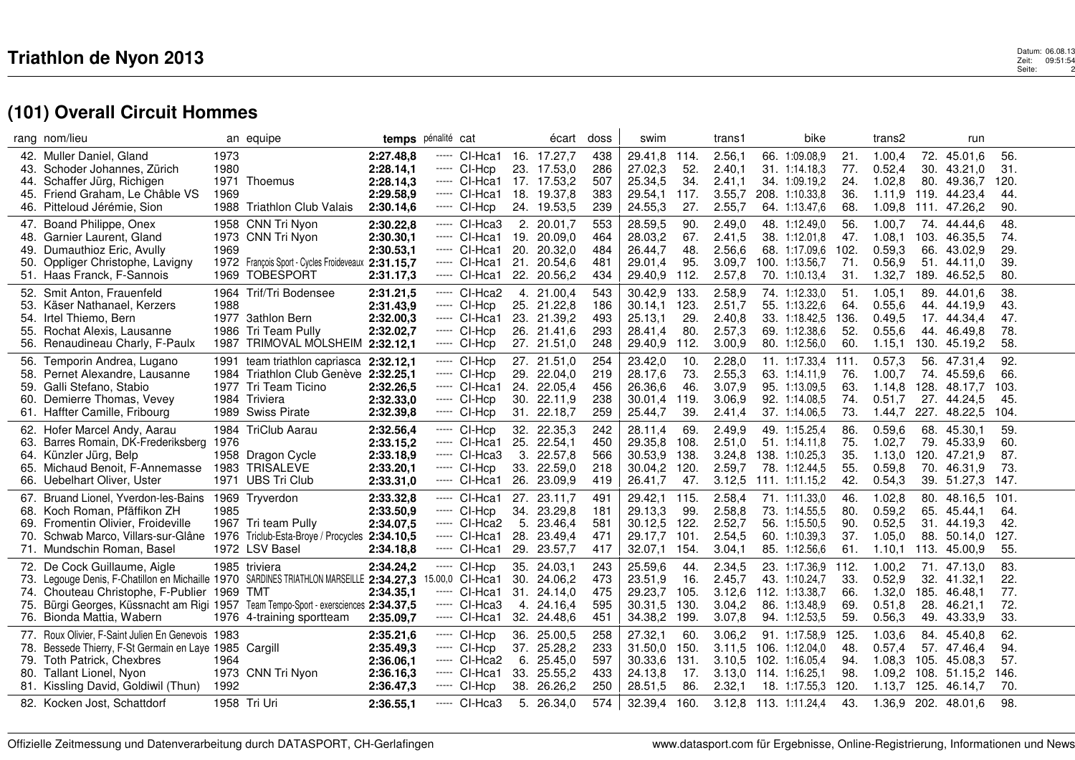## $\mathbf 3$ <br> $\mathbf 2$ eit: 09:51:54 Seite: 09:51:54<br>Seite: 2 13.06.08<br>21:52 Zeit: 09:51<br>2:52 Seite:

|            | rang nom/lieu                                                                           |      | an equipe                                          | temps pénalité cat     |       |                                |     | écart                      | doss       | swim               |             | trans1           | bike                            |             | trans2            |            | run                         |             |  |
|------------|-----------------------------------------------------------------------------------------|------|----------------------------------------------------|------------------------|-------|--------------------------------|-----|----------------------------|------------|--------------------|-------------|------------------|---------------------------------|-------------|-------------------|------------|-----------------------------|-------------|--|
| 42.        | Muller Daniel, Gland                                                                    | 1973 |                                                    | 2:27.48,8              | ----- | CI-Hca1                        |     | 16. 17.27,7                | 438        | 29.41,8            | 114.        | 2.56,1           | 66. 1:09.08,9                   | 21.         | 1.00,4            | 72.        | 45.01.6                     | 56.         |  |
|            | 43. Schoder Johannes, Zürich                                                            | 1980 |                                                    | 2:28.14,1              |       | ----- CI-Hcp<br>----- CI-Hca1  |     | 23. 17.53,0                | 286        | 27.02,3            | 52.         | 2.40,1           | 31. 1:14.18,3                   | 77.         | 0.52,4            |            | 30. 43.21,0                 | 31.         |  |
| 44.        | Schaffer Jürg, Richigen<br>Friend Graham. Le Châble VS                                  | 1969 | 1971 Thoemus                                       | 2:28.14,3<br>2:29.58,9 |       | ----- CI-Hca1                  |     | 17. 17.53,2<br>18. 19.37,8 | 507<br>383 | 25.34,5<br>29.54.1 | 34.<br>117. | 2.41,1<br>3.55.7 | 34. 1:09.19.2<br>208. 1:10.33.8 | 24.<br>36.  | 1.02,8<br>1.11.9  | 119.       | 80. 49.36,7<br>44.23.4      | 120.<br>44. |  |
| 45.        | 46. Pitteloud Jérémie, Sion                                                             |      | 1988 Triathlon Club Valais                         |                        |       | ----- CI-Hcp                   |     | 24. 19.53,5                | 239        | 24.55,3            | 27.         | 2.55,7           | 64. 1:13.47,6                   | 68.         | 1.09,8            |            | 111. 47.26,2                | 90.         |  |
|            |                                                                                         |      |                                                    | 2:30.14,6              |       |                                |     |                            |            |                    |             |                  |                                 |             |                   |            |                             |             |  |
| 47.        | Boand Philippe, Onex                                                                    |      | 1958 CNN Tri Nyon                                  | 2:30.22,8              |       | ----- CI-Hca3                  |     | 2.20.01.7                  | 553        | 28.59,5            | 90.         | 2.49.0           | 48. 1:12.49.0                   | 56.         | 1.00.7            | 74.        | 44.44.6                     | 48.         |  |
| 48.        | Garnier Laurent, Gland                                                                  | 1969 | 1973 CNN Tri Nyon                                  | 2:30.30,1              |       | ----- CI-Hca1                  | 19. | 20.09,0                    | 464<br>484 | 28.03,2            | 67.         | 2.41,5           | 38. 1:12.01,8                   | 47.         | 1.08,1            | 103.       | 46.35,5                     | 74.         |  |
| 49.        | Dumauthioz Eric, Avully                                                                 |      | 1972 François Sport - Cycles Froideveaux 2:31.15,7 | 2:30.53,1              |       | ----- CI-Hca1<br>$---$ CI-Hca1 | 20. | 20.32,0<br>21. 20.54,6     | 481        | 26.44,7<br>29.01.4 | 48.<br>95.  | 2.56,6<br>3.09.7 | 68. 1:17.09.6<br>100. 1:13.56,7 | 102.<br>71. | 0.59,3<br>0.56.9  | 66.        | 43.02,9<br>51. 44.11.0      | 29.<br>39.  |  |
|            | 50. Oppliger Christophe, Lavigny<br>51. Haas Franck, F-Sannois                          | 1969 | <b>TOBESPORT</b>                                   | 2:31.17,3              |       | ----- CI-Hca1                  |     | 22. 20.56,2                | 434        | 29.40,9            | 112.        | 2.57,8           | 70. 1:10.13,4                   | 31.         | 1.32,7            | 189.       | 46.52,5                     | 80.         |  |
|            |                                                                                         |      |                                                    |                        |       |                                |     |                            |            |                    |             |                  |                                 |             |                   |            |                             |             |  |
|            | 52. Smit Anton, Frauenfeld                                                              | 1964 | Trif/Tri Bodensee                                  | 2:31.21,5              |       | ----- CI-Hca2                  |     | 4. 21.00,4                 | 543        | 30.42,9            | 133.        | 2.58,9           | 74. 1:12.33,0                   | 51.         | 1.05,1            |            | 89. 44.01.6                 | 38.         |  |
| 53.<br>54. | Käser Nathanael, Kerzers<br>Irtel Thiemo, Bern                                          | 1988 | 1977 3athlon Bern                                  | 2:31.43,9              |       | ----- CI-Hcp<br>----- CI-Hca1  |     | 25. 21.22,8<br>23. 21.39,2 | 186<br>493 | 30.14,1<br>25.13,1 | 123.<br>29. | 2.51,7<br>2.40,8 | 55. 1:13.22,6<br>33. 1:18.42,5  | 64.<br>136. | 0.55, 6<br>0.49,5 | 44.<br>17. | 44.19,9<br>44.34,4          | 43.<br>47.  |  |
|            | Rochat Alexis, Lausanne                                                                 |      | 1986 Tri Team Pully                                | 2:32.00,3<br>2:32.02,7 |       | ---- CI-Hcp                    |     | 26. 21.41,6                | 293        | 28.41.4            | 80.         | 2.57,3           | 69. 1:12.38.6                   | 52.         | 0.55,6            | 44.        | 46.49.8                     | 78.         |  |
| 55.        | 56. Renaudineau Charly, F-Paulx                                                         | 1987 | TRIMOVAL MOLSHEIM 2:32.12,1                        |                        |       | ----- CI-Hcp                   |     | 27. 21.51,0                | 248        | 29.40,9            | 112.        | 3.00,9           | 80. 1:12.56,0                   | 60.         | 1.15,1            | 130.       | 45.19,2                     | 58.         |  |
|            |                                                                                         |      |                                                    |                        |       |                                |     |                            |            |                    |             |                  |                                 |             |                   |            |                             |             |  |
| 56.        | Temporin Andrea, Lugano                                                                 | 1991 | team triathlon capriasca 2:32.12.1                 |                        |       | $---$ CI-Hcp                   |     | 27. 21.51,0                | 254        | 23.42,0            | 10.         | 2.28,0           | 11. 1:17.33,4                   | 111.        | 0.57,3            |            | 56. 47.31,4                 | 92.         |  |
| 58.        | Pernet Alexandre, Lausanne                                                              | 1984 | Triathlon Club Genève 2:32.25,1                    |                        |       | ----- CI-Hcp                   |     | 29. 22.04,0                | 219        | 28.17,6            | 73.         | 2.55,3           | 63. 1:14.11,9                   | 76.         | 1.00,7            | 74.        | 45.59,6                     | 66.         |  |
|            | 59. Galli Stefano, Stabio<br>Demierre Thomas, Vevey                                     | 1977 | Tri Team Ticino<br>1984 Triviera                   | 2:32.26,5              |       | ----- CI-Hca1<br>----- CI-Hcp  |     | 24. 22.05,4<br>30. 22.11,9 | 456<br>238 | 26.36,6<br>30.01,4 | 46.<br>119. | 3.07.9<br>3.06,9 | 95. 1:13.09,5<br>92. 1:14.08,5  | 63.<br>74.  | 1.14,8<br>0.51,7  |            | 128. 48.17,7<br>27. 44.24,5 | 103.<br>45. |  |
| 60.        | 61. Haffter Camille, Fribourg                                                           |      | 1989 Swiss Pirate                                  | 2:32.33,0<br>2:32.39,8 |       | ----- CI-Hcp                   |     | 31. 22.18,7                | 259        | 25.44,7            | 39.         | 2.41,4           | 37. 1:14.06,5                   | 73.         | 1.44,7            |            | 227. 48.22,5                | 104.        |  |
|            |                                                                                         |      |                                                    |                        |       |                                |     |                            |            |                    |             |                  |                                 |             |                   |            |                             |             |  |
| 62.        | Hofer Marcel Andy, Aarau                                                                | 1984 | <b>TriClub Aarau</b>                               | 2:32.56,4              |       | ----- CI-Hcp                   |     | 32. 22.35,3                | 242        | 28.11,4            | 69.         | 2.49,9           | 49. 1:15.25,4                   | 86.         | 0.59,6            | 68.        | 45.30,1                     | 59.         |  |
| 63.        | Barres Romain, DK-Frederiksberg                                                         | 1976 |                                                    | 2:33.15,2              |       | ----- CI-Hca1                  | 25. | 22.54,1                    | 450        | 29.35,8            | 108.        | 2.51,0           | 51. 1:14.11,8                   | 75.         | 1.02,7            | 79.        | 45.33,9                     | 60.         |  |
| 64.        | Künzler Jürg, Belp                                                                      |      | 1958 Dragon Cycle                                  | 2:33.18,9              |       | ----- CI-Hca3                  | 3.  | 22.57,8                    | 566        | 30.53,9            | 138.        | 3.24.8           | 138. 1:10.25.3                  | 35.         | 1.13,0            |            | 120. 47.21,9                | 87.         |  |
| 65.        | Michaud Benoit, F-Annemasse<br>66. Uebelhart Oliver, Uster                              | 1983 | <b>TRISALEVE</b><br>1971 UBS Tri Club              | 2:33.20,1<br>2:33.31,0 |       | ----- CI-Hcp<br>----- CI-Hca1  | 33. | 22.59,0<br>26. 23.09,9     | 218<br>419 | 30.04,2<br>26.41,7 | 120.<br>47. | 2.59,7<br>3.12,5 | 78. 1:12.44,5                   | 55.<br>42.  | 0.59,8<br>0.54,3  | 70.        | 46.31,9                     | 73.         |  |
|            |                                                                                         |      |                                                    |                        |       |                                |     |                            |            |                    |             |                  | 111. 1:11.15,2                  |             |                   |            | 39. 51.27,3                 | 147.        |  |
| 67.        | Bruand Lionel, Yverdon-les-Bains                                                        |      | 1969 Tryverdon                                     | 2:33.32,8              |       | ----- CI-Hca1                  | 27. | 23.11,7                    | 491        | 29.42,1 115.       |             | 2.58,4           | 71. 1:11.33,0                   | 46.         | 1.02,8            | 80.        | 48.16,5                     | 101.        |  |
|            | 68. Koch Roman, Pfäffikon ZH                                                            | 1985 |                                                    | 2:33.50,9              |       | ----- CI-Hcp                   |     | 34. 23.29,8                | 181        | 29.13,3            | 99.         | 2.58,8           | 73. 1:14.55,5                   | 80.         | 0.59,2            |            | 65. 45.44,1                 | 64.         |  |
| 69.        | Fromentin Olivier, Froideville                                                          |      | 1967 Tri team Pully                                | 2:34.07,5              |       | ----- CI-Hca2                  | 5.  | 23.46,4                    | 581        | 30.12,5            | 122.        | 2.52,7           | 56. 1:15.50,5                   | 90.         | 0.52,5            | 31.        | 44.19.3                     | 42.         |  |
| 70.        | Schwab Marco, Villars-sur-Glâne 1976                                                    |      | Triclub-Esta-Broye / Procycles 2:34.10,5           |                        |       | ----- CI-Hca1                  | 28. | 23.49,4                    | 471        | 29.17,7            | 101.        | 2.54,5           | 60. 1:10.39,3                   | 37.         | 1.05,0            | 88.        | 50.14,0                     | 127.        |  |
|            | 71. Mundschin Roman, Basel                                                              |      | 1972 LSV Basel                                     | 2:34.18,8              |       | ----- CI-Hca1                  |     | 29. 23.57,7                | 417        | 32.07,1            | 154.        | 3.04,1           | 85. 1:12.56,6                   | 61.         | 1.10,1            |            | 113. 45.00,9                | 55.         |  |
|            | 72. De Cock Guillaume, Aigle                                                            |      | 1985 triviera                                      | 2:34.24,2              | ----- | CI-Hcp                         |     | 35. 24.03,1                | 243        | 25.59,6            | 44.         | 2.34,5           | 23. 1:17.36,9                   | 112.        | 1.00.2            | 71.        | 47.13.0                     | 83.         |  |
|            | 73. Legouge Denis, F-Chatillon en Michaille 1970 SARDINES TRIATHLON MARSEILLE 2:34.27,3 |      |                                                    |                        |       | 5.00,0 CI-Hca1                 |     | 30. 24.06,2                | 473        | 23.51,9            | 16.         | 2.45,7           | 43. 1:10.24,7                   | 33.         | 0.52,9            |            | 32. 41.32,1                 | 22.         |  |
|            | 74. Chouteau Christophe, F-Publier 1969                                                 |      | TMT                                                | 2:34.35,1              |       | $---$ CI-Hca1                  | 31. | 24.14,0                    | 475        | 29.23,7            | 105.        | 3.12.6           | 112. 1:13.38,7                  | 66.         | 1.32,0            | 185.       | 46.48.1                     | 77.         |  |
| 75.        | Bürgi Georges, Küssnacht am Rigi 1957 Team Tempo-Sport - exersciences 2:34.37,5         |      |                                                    |                        |       | ----- CI-Hca3                  |     | 4. 24.16,4                 | 595        | 30.31,5            | 130.        | 3.04,2           | 86. 1:13.48,9                   | 69.         | 0.51,8            | 28.        | 46.21,1                     | 72.         |  |
| 76.        | Bionda Mattia, Wabern                                                                   |      | 1976 4-training sportteam                          | 2:35.09,7              |       | ----- CI-Hca1                  |     | 32. 24.48,6                | 451        | 34.38,2 199.       |             | 3.07,8           | 94. 1:12.53,5                   | 59.         | 0.56,3            | 49.        | 43.33,9                     | 33.         |  |
|            | 77. Roux Olivier, F-Saint Julien En Genevois 1983                                       |      |                                                    | 2:35.21,6              |       | ---- CI-Hcp                    |     | 36. 25.00,5                | 258        | 27.32.1            | 60.         | 3.06.2           | 91. 1:17.58,9                   | 125.        | 1.03,6            |            | 84. 45.40.8                 | 62.         |  |
| 78.        | Bessede Thierry, F-St Germain en Laye 1985 Cargill                                      |      |                                                    | 2:35.49,3              |       | ----- CI-Hcp                   |     | 37. 25.28,2                | 233        | 31.50,0            | 150.        | 3.11,5           | 106. 1:12.04,0                  | 48.         | 0.57,4            | 57.        | 47.46,4                     | 94.         |  |
| 79.        | Toth Patrick, Chexbres                                                                  | 1964 |                                                    | 2:36.06,1              |       | ----- CI-Hca2                  |     | 6.25.45,0                  | 597        | 30.33,6            | 131.        | 3.10.5           | 102. 1:16.05.4                  | 94.         | 1.08.3            | 105.       | 45.08.3                     | 57.         |  |
|            | 80. Tallant Lionel, Nyon                                                                |      | 1973 CNN Tri Nyon                                  | 2:36.16,3              |       | ----- CI-Hca1                  |     | 33. 25.55,2                | 433        | 24.13,8            | 17.         |                  | 3.13.0 114. 1:16.25.1           | 98.         | 1.09,2            |            | 108. 51.15.2                | 146.        |  |
|            | 81. Kissling David, Goldiwil (Thun)                                                     | 1992 |                                                    | 2:36.47,3              |       | $---$ CI-Hcp                   |     | 38. 26.26,2                | 250        | 28.51,5            | 86.         | 2.32,1           | 18. 1:17.55,3                   | 120.        | 1.13,7            | 125.       | 46.14,7                     | 70.         |  |
|            | 82. Kocken Jost, Schattdorf                                                             |      | 1958 Tri Uri                                       | 2:36.55,1              |       | ----- CI-Hca3                  |     | 5. 26.34,0                 | 574        | 32.39,4 160.       |             |                  | 3.12,8 113. 1:11.24,4           | 43.         | 1.36,9            |            | 202. 48.01,6                | 98.         |  |
|            |                                                                                         |      |                                                    |                        |       |                                |     |                            |            |                    |             |                  |                                 |             |                   |            |                             |             |  |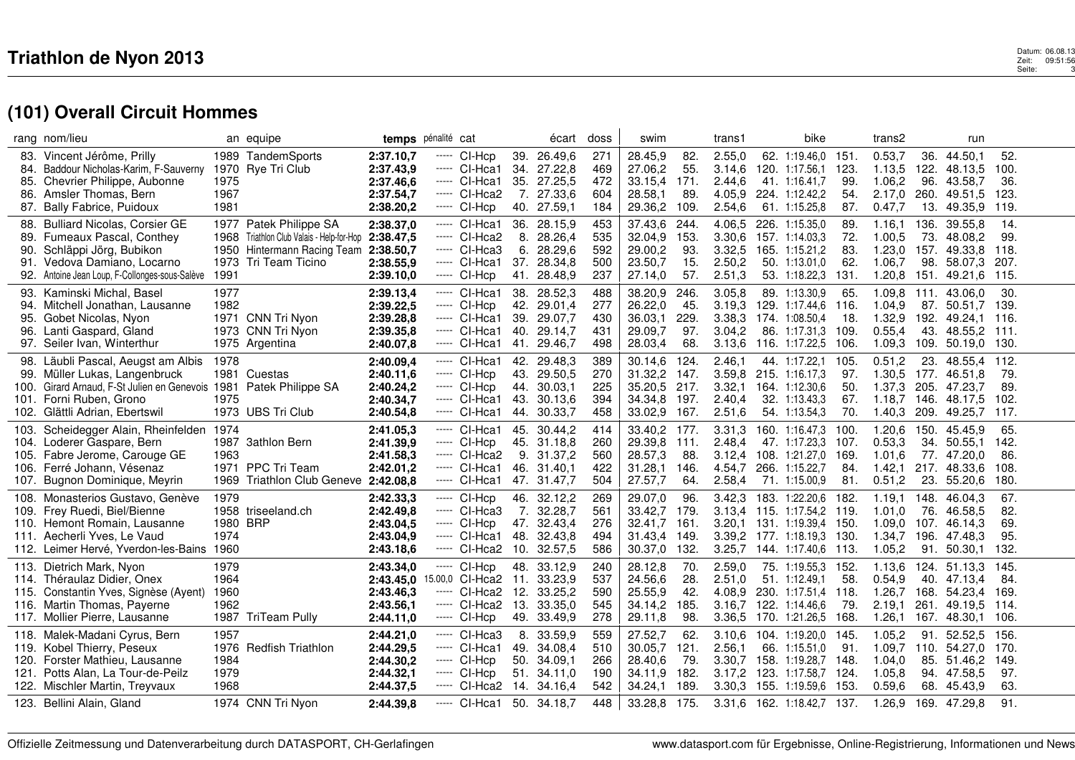## $\mathbf 3$ <br> $\mathbf 2$ eit: 09:51:56.08.13<br>Seite: 9:51:56 Datum: 06.08.13<br>Zeit: 09:51:56<br>Seite: 3

|      | rang nom/lieu                                    |          | an equipe                            | temps pénalité cat     |       |                               |     | écart                  | doss       | swim               |             | trans1           | bike                             |             | trans2           |             | run                |               |  |
|------|--------------------------------------------------|----------|--------------------------------------|------------------------|-------|-------------------------------|-----|------------------------|------------|--------------------|-------------|------------------|----------------------------------|-------------|------------------|-------------|--------------------|---------------|--|
| 83.  | Vincent Jérôme, Prilly                           |          | 1989 TandemSports                    | 2:37.10,7              | ----- | CI-Hcp                        |     | 39. 26.49,6            | 271        | 28.45,9            | 82.         | 2.55,0           | 62. 1:19.46,0                    | 151.        | 0.53,7           | 36.         | 44.50,1            | 52.           |  |
|      | 84. Baddour Nicholas-Karim, F-Sauverny           |          | 1970 Rye Tri Club                    | 2:37.43,9              |       | ----- CI-Hca1                 |     | 34. 27.22,8            | 469        | 27.06,2            | 55.         | 3.14,6           | 120. 1:17.56,1                   | 123.        | 1.13,5           |             | 122. 48.13,5       | 100.          |  |
| 85.  | Chevrier Philippe, Aubonne                       | 1975     |                                      | 2:37.46,6              |       | $---$ CI-Hca1                 |     | 35. 27.25,5            | 472        | 33.15,4            | 171.        | 2.44,6           | 41. 1:16.41,7                    | 99.         | 1.06,2           | 96.         | 43.58,7            | 36.           |  |
| 86.  | Amsler Thomas, Bern                              | 1967     |                                      | 2:37.54,7              |       | ----- CI-Hca2                 |     | 7. 27.33,6             | 604        | 28.58.1            | 89.         | 4.05.9           | 224. 1:12.42,2                   | 54.         | 2.17,0           | 260.        | 49.51.5            | 123.          |  |
|      | 87. Bally Fabrice, Puidoux                       | 1981     |                                      | 2:38.20,2              |       | ----- CI-Hcp                  |     | 40. 27.59,1            | 184        | 29.36,2 109.       |             | 2.54,6           | 61. 1:15.25,8                    | 87.         | 0.47,7           |             | 13. 49.35,9        | 119.          |  |
| 88.  | <b>Bulliard Nicolas, Corsier GE</b>              |          | 1977 Patek Philippe SA               | 2:38.37,0              |       | ----- CI-Hca1                 |     | 36. 28.15,9            | 453        | 37.43,6            | 244.        | 4.06,5           | 226. 1:15.35,0                   | 89.         | 1.16,1           | 136.        | 39.55.8            | 14.           |  |
| 89.  | Fumeaux Pascal, Conthey                          | 1968     | Triathlon Club Valais - Help-for-Hop | 2:38.47,5              |       | ----- CI-Hca2                 | 8.  | 28.26,4                | 535        | 32.04,9            | 153.        | 3.30,6           | 157. 1:14.03,3                   | 72.         | 1.00,5           | 73.         | 48.08.2            | 99.           |  |
| 90.  | Schläppi Jörg, Bubikon                           | 1950     | Hintermann Racing Team 2:38.50,7     |                        |       | ----- CI-Hca3                 | 6.  | 28.29,6                | 592        | 29.00,2            | 93.         | 3.32,5           | 165. 1:15.21,2                   | 83.         | 1.23,0           | 157.        | 49.33,8            | 118.          |  |
|      | 91. Vedova Damiano, Locarno                      | 1973     | Tri Team Ticino                      | 2:38.55,9              |       | $---$ CI-Hca1                 |     | 37. 28.34,8            | 500        | 23.50,7            | 15.         | 2.50,2           | 50. 1:13.01.0                    | 62.         | 1.06,7           | 98.         | 58.07.3            | 207.          |  |
|      | 92. Antoine Jean Loup, F-Collonges-sous-Salève   | 1991     |                                      | 2:39.10,0              |       | ----- CI-Hcp                  |     | 41. 28.48,9            | 237        | 27.14,0            | 57.         | 2.51,3           | 53. 1:18.22,3                    | 131.        | 1.20,8           | 151.        | 49.21.6            | 115.          |  |
|      |                                                  |          |                                      |                        |       |                               |     |                        |            |                    |             |                  |                                  |             |                  |             |                    |               |  |
|      | 93. Kaminski Michal, Basel                       | 1977     |                                      | 2:39.13,4              |       | ----- CI-Hca1                 |     | 38. 28.52,3            | 488        | 38.20,9            | 246.<br>45. | 3.05,8           | 89. 1:13.30,9                    | 65.         | 1.09,8           |             | 111. 43.06,0       | 30.           |  |
| 95.  | 94. Mitchell Jonathan, Lausanne                  | 1982     | 1971 CNN Tri Nyon                    | 2:39.22,5              |       | $---$ CI-Hcp<br>$---$ CI-Hca1 | 42. | 29.01,4<br>39. 29.07,7 | 277<br>430 | 26.22,0<br>36.03.1 | 229.        | 3.19,3<br>3.38,3 | 129. 1:17.44,6<br>174. 1:08.50.4 | 116.<br>18. | 1.04,9<br>1.32,9 | 87.<br>192. | 50.51,7<br>49.24,1 | 139.<br>-116. |  |
|      | Gobet Nicolas, Nyon<br>96. Lanti Gaspard, Gland  |          | 1973 CNN Tri Nyon                    | 2:39.28,8<br>2:39.35,8 |       | ----- CI-Hca1                 |     | 40. 29.14,7            | 431        | 29.09,7            | 97.         | 3.04,2           | 86. 1:17.31,3                    | 109.        | 0.55,4           | 43.         | 48.55,2 111.       |               |  |
|      | 97. Seiler Ivan, Winterthur                      |          | 1975 Argentina                       |                        |       | $---$ CI-Hca1                 |     |                        | 498        | 28.03,4            | 68.         | 3.13.6           |                                  | 106.        | 1.09,3           |             | 109. 50.19.0       | -130.         |  |
|      |                                                  |          |                                      | 2:40.07,8              |       |                               |     | 41. 29.46,7            |            |                    |             |                  | 116. 1:17.22,5                   |             |                  |             |                    |               |  |
|      | 98. Läubli Pascal, Aeugst am Albis               | 1978     |                                      | 2:40.09,4              |       | ----- CI-Hca1                 |     | 42. 29.48,3            | 389        | 30.14.6            | 124.        | 2.46.1           | 44. 1:17.22,1                    | 105.        | 0.51,2           | 23.         | 48.55.4            | 112.          |  |
|      | 99. Müller Lukas, Langenbruck                    |          | 1981 Cuestas                         | 2:40.11,6              |       | ----- CI-Hcp                  |     | 43. 29.50,5            | 270        | 31.32,2            | 147.        |                  | 3.59.8 215. 1:16.17.3            | 97.         | 1.30,5           | 177.        | 46.51.8            | 79.           |  |
|      | 100. Girard Arnaud, F-St Julien en Genevois 1981 |          | Patek Philippe SA                    | 2:40.24,2              |       | ----- CI-Hcp                  |     | 44. 30.03,1            | 225        | 35.20,5 217.       |             | 3.32,1           | 164. 1:12.30.6                   | 50.         | 1.37,3           |             | 205. 47.23,7       | 89.           |  |
|      | 101. Forni Ruben, Grono                          | 1975     |                                      | 2:40.34,7              |       | ----- CI-Hca1                 |     | 43. 30.13.6            | 394        | 34.34,8            | 197.        | 2.40,4           | 32. 1:13.43,3                    | 67.         | 1.18,7           | 146.        | 48.17,5            | 102.          |  |
|      | 102. Glättli Adrian, Ebertswil                   |          | 1973 UBS Tri Club                    | 2:40.54,8              |       | ----- CI-Hca1                 |     | 44. 30.33,7            | 458        | 33.02,9            | 167.        | 2.51,6           | 54. 1:13.54,3                    | 70.         | 1.40,3           | 209.        | 49.25,7            | 117.          |  |
|      | 103. Scheidegger Alain, Rheinfelden 1974         |          |                                      | 2:41.05,3              |       | ----- CI-Hca1                 | 45. | 30.44.2                | 414        | 33.40,2            | 177.        | 3.31,3           | 160. 1:16.47,3                   | 100.        | 1.20,6           | 150.        | 45.45.9            | 65.           |  |
|      | 104. Loderer Gaspare, Bern                       |          | 1987 3athlon Bern                    | 2:41.39,9              |       | ----- CI-Hcp                  |     | 45. 31.18,8            | 260        | 29.39,8            | 111.        | 2.48,4           | 47. 1:17.23,3                    | 107.        | 0.53,3           | 34.         | 50.55.1            | 142.          |  |
|      | 105. Fabre Jerome, Carouge GE                    | 1963     |                                      | 2:41.58,3              |       | ----- CI-Hca2                 |     | 9. 31.37,2             | 560        | 28.57,3            | 88.         | 3.12.4           | 108. 1:21.27,0                   | 169.        | 1.01.6           |             | 77. 47.20,0        | 86.           |  |
|      | 106. Ferré Johann, Vésenaz                       |          | 1971 PPC Tri Team                    | 2:42.01,2              |       | $---$ CI-Hca1                 |     | 46. 31.40,1            | 422        | 31.28,1            | 146.        | 4.54,7           | 266. 1:15.22,7                   | 84.         | 1.42,1           |             | 217. 48.33,6       | 108.          |  |
|      | 107. Bugnon Dominique, Meyrin                    | 1969     | Triathlon Club Geneve 2:42.08,8      |                        |       | ----- CI-Hca1                 |     | 47. 31.47,7            | 504        | 27.57,7            | 64.         | 2.58,4           | 71. 1:15.00,9                    | 81.         | 0.51,2           | 23.         | 55.20,6            | 180.          |  |
|      | 108. Monasterios Gustavo, Genève                 | 1979     |                                      | 2:42.33,3              |       | ----- CI-Hcp                  |     | 46. 32.12,2            | 269        | 29.07,0            | 96.         | 3.42,3           | 183. 1:22.20,6                   | 182.        | 1.19,1           | 148.        | 46.04,3            | 67.           |  |
|      | 109. Frey Ruedi, Biel/Bienne                     |          | 1958 triseeland.ch                   | 2:42.49,8              |       | ----- CI-Hca3                 |     | 7. 32.28,7             | 561        | 33.42.7            | 179.        | 3.13.4           | 115. 1:17.54,2 119.              |             | 1.01,0           | 76.         | 46.58.5            | 82.           |  |
|      | 110. Hemont Romain, Lausanne                     | 1980 BRP |                                      | 2:43.04,5              |       | ----- CI-Hcp                  |     | 47. 32.43,4            | 276        | 32.41,7            | 161.        |                  | 3.20,1 131. 1:19.39,4 150.       |             | 1.09,0           | 107.        | 46.14,3            | 69.           |  |
|      | 111. Aecherli Yves, Le Vaud                      | 1974     |                                      | 2:43.04,9              |       | ----- CI-Hca1                 | 48. | 32.43,8                | 494        | 31.43,4            | 149.        | 3.39.2           | 177. 1:18.19.3                   | -130.       | 1.34,7           | 196.        | 47.48.3            | 95.           |  |
|      | 112. Leimer Hervé, Yverdon-les-Bains             | 1960     |                                      | 2:43.18,6              |       | $---$ CI-Hca2                 |     | 10. 32.57,5            | 586        | 30.37,0            | 132.        | 3.25,7           | 144. 1:17.40,6                   | -113.       | 1.05,2           |             | 91. 50.30.1        | 132.          |  |
|      | 113. Dietrich Mark, Nyon                         | 1979     |                                      | 2:43.34,0              |       | $---$ CI-Hcp                  |     | 48. 33.12,9            | 240        | 28.12,8            | 70.         | 2.59,0           | 75. 1:19.55,3                    | 152.        | 1.13,6           |             | 124. 51.13.3       | 145.          |  |
|      | 114. Théraulaz Didier, Onex                      | 1964     |                                      | 2:43.45,0              |       | 5.00,0 CI-Hca2 11. 33.23,9    |     |                        | 537        | 24.56,6            | 28.         | 2.51.0           | 51. 1:12.49.1                    | 58.         | 0.54,9           |             | 40. 47.13.4        | -84.          |  |
|      | 115. Constantin Yves, Signèse (Ayent)            | 1960     |                                      | 2:43.46,3              |       | ----- CI-Hca2                 | 12. | 33.25.2                | 590        | 25.55,9            | 42.         | 4.08.9           | 230. 1:17.51,4                   | 118.        | 1.26.7           |             | 168.54.23.4        | -169.         |  |
|      | 116. Martin Thomas, Payerne                      | 1962     |                                      | 2:43.56,1              |       | ----- CI-Hca2                 | 13. | 33.35,0                | 545        | 34.14,2            | 185.        | 3.16,7           | 122. 1:14.46,6                   | 79.         | 2.19,1           | 261.        | 49.19,5            | -114.         |  |
|      | 117. Mollier Pierre, Lausanne                    | 1987     | TriTeam Pully                        | 2:44.11,0              |       | ---- CI-Hcp                   |     | 49. 33.49,9            | 278        | 29.11,8            | 98.         | 3.36,5           | 170. 1:21.26.5                   | 168.        | 1.26,1           |             | 167. 48.30.1       | -106.         |  |
|      | 118. Malek-Madani Cyrus, Bern                    | 1957     |                                      | 2:44.21,0              |       | ----- CI-Hca3                 |     | 8. 33.59,9             | 559        | 27.52,7            | 62.         | 3.10,6           | 104. 1:19.20,0                   | 145.        | 1.05,2           | 91.         | 52.52,5            | 156.          |  |
|      | 119. Kobel Thierry, Peseux                       |          | 1976 Redfish Triathlon               | 2:44.29,5              |       | $---$ CI-Hca1                 |     | 49. 34.08,4            | 510        | 30.05,7            | 121.        | 2.56,1           | 66. 1:15.51,0                    | 91.         | 1.09,7           |             | 110. 54.27,0       | 170.          |  |
| 120. | Forster Mathieu, Lausanne                        | 1984     |                                      | 2:44.30,2              |       | $---$ CI-Hcp                  |     | 50. 34.09,1            | 266        | 28.40,6            | 79.         | 3.30,7           | 158. 1:19.28,7                   | 148.        | 1.04,0           |             | 85. 51.46.2        | 149.          |  |
|      | 121. Potts Alan, La Tour-de-Peilz                | 1979     |                                      | 2:44.32,1              |       | ----- CI-Hcp                  |     | 51. 34.11,0            | 190        | 34.11,9            | 182.        | 3.17,2           | 123. 1:17.58,7                   | 124.        | 1.05,8           |             | 94. 47.58,5        | 97.           |  |
|      | 122. Mischler Martin, Treyvaux                   | 1968     |                                      | 2:44.37,5              |       | $---$ CI-Hca2                 |     | 14. 34.16,4            | 542        | 34.24,1            | 189.        | 3.30,3           | 155. 1:19.59,6                   | 153.        | 0.59,6           | 68.         | 45.43,9            | 63.           |  |
|      |                                                  |          |                                      |                        |       |                               |     |                        |            |                    |             |                  |                                  |             |                  |             |                    |               |  |
|      | 123. Bellini Alain, Gland                        |          | 1974 CNN Tri Nyon                    | 2:44.39,8              |       | ----- CI-Hca1                 |     | 50. 34.18,7            | 448        | 33.28,8 175.       |             |                  | 3.31,6 162. 1:18.42,7 137.       |             | 1.26,9           |             | 169. 47.29,8       | 91.           |  |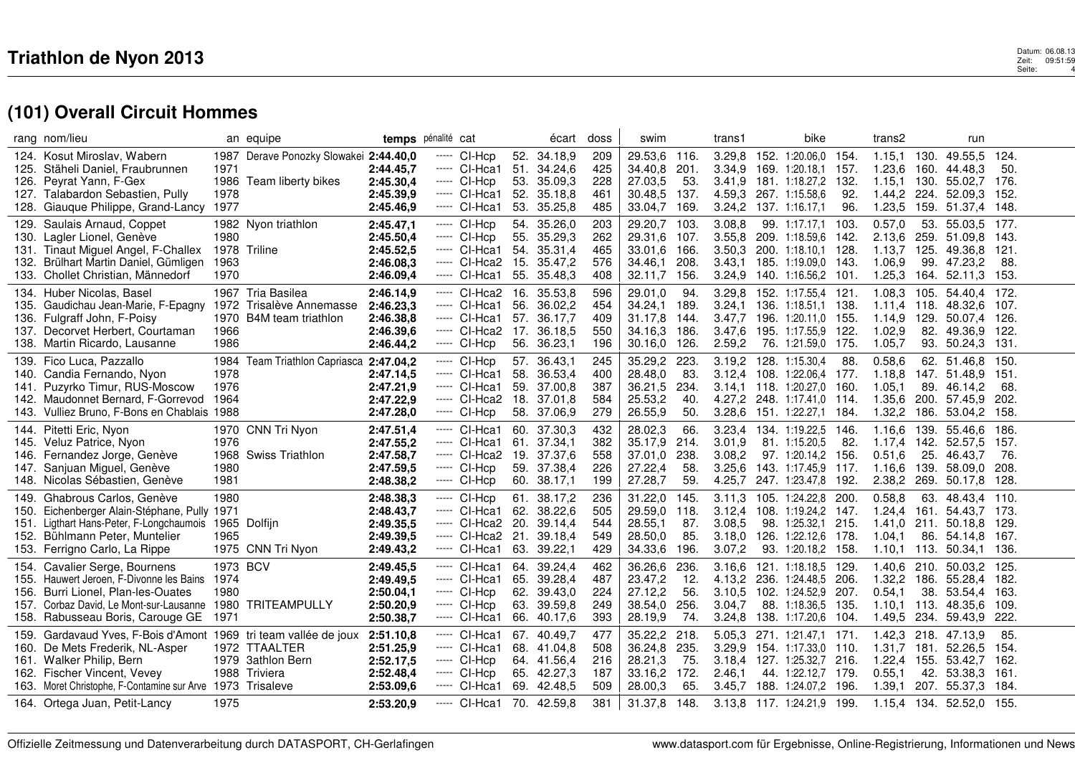|                              | rang nom/lieu                                                                                                                                                                                                                                            |                                          | an equipe                                                      |                                                                            | temps pénalité cat                                                                              |                   | écart                                                                                  | doss                                   | swim                                                                          |                                   | trans1                                         | bike                                                                                                                               |                              | trans2                                         |             | run                                                                                                            |                                         |  |
|------------------------------|----------------------------------------------------------------------------------------------------------------------------------------------------------------------------------------------------------------------------------------------------------|------------------------------------------|----------------------------------------------------------------|----------------------------------------------------------------------------|-------------------------------------------------------------------------------------------------|-------------------|----------------------------------------------------------------------------------------|----------------------------------------|-------------------------------------------------------------------------------|-----------------------------------|------------------------------------------------|------------------------------------------------------------------------------------------------------------------------------------|------------------------------|------------------------------------------------|-------------|----------------------------------------------------------------------------------------------------------------|-----------------------------------------|--|
| 124.<br>125.<br>126.<br>127. | Kosut Miroslav, Wabern<br>Stäheli Daniel, Fraubrunnen<br>Peyrat Yann, F-Gex<br>Talabardon Sebastien, Pully<br>128. Giauque Philippe, Grand-Lancy                                                                                                         | 1987<br>1971<br>1986<br>1978<br>1977     | Derave Ponozky Slowakei 2:44.40,0<br>Team liberty bikes        | 2:44.45.7<br>2:45.30,4<br>2:45.39,9<br>2:45.46,9                           | CI-Hcp<br>-----<br>----- CI-Hca1<br>----- CI-Hcp<br>----- CI-Hca1<br>$---$ CI-Hca1              | 51.<br>53.<br>52. | 52. 34.18,9<br>34.24,6<br>35.09,3<br>35.18,8<br>53. 35.25,8                            | 209<br>425<br>228<br>461<br>485        | 29.53,6 116.<br>34.40.8<br>27.03,5<br>30.48,5<br>33.04,7                      | 201.<br>53.<br>137.<br>169.       | 3.29,8<br>3.41,9<br>3.24,2                     | 152. 1:20.06,0 154.<br>3.34.9 169. 1:20.18.1<br>181.1:18.27,2<br>4.59,3 267. 1:15.58,6<br>137. 1:16.17.1                           | -157.<br>132.<br>92.<br>96.  | $1.15,1$ 130.<br>1.23.6<br>1.44,2<br>1.23,5    |             | 49.55,5<br>160. 44.48.3<br>1.15,1 130. 55.02,7<br>224. 52.09,3<br>159. 51.37,4 148.                            | 124.<br>50.<br>-176.<br>-152.           |  |
| 129.<br>131.<br>132.         | Saulais Arnaud, Coppet<br>130. Lagler Lionel, Genève<br>Tinaut Miguel Angel, F-Challex<br>Brülhart Martin Daniel, Gümligen<br>133. Chollet Christian, Männedorf                                                                                          | 1980<br>1963<br>1970                     | 1982 Nyon triathlon<br>1978 Triline                            | 2:45.47,1<br>2:45.50,4<br>2:45.52,5<br>2:46.08,3<br>2:46.09,4              | $---$ CI-Hcp<br>----- CI-Hcp<br>$---$ CI-Hca1<br>---- CI-Hca2<br>----- CI-Hca1                  | 54.               | 54. 35.26,0<br>55. 35.29,3<br>35.31,4<br>15. 35.47,2<br>55. 35.48,3                    | 203<br>262<br>465<br>576<br>408        | 29.20,7<br>29.31,6 107.<br>33.01,6<br>34.46.1<br>32.11,7                      | 103.<br>166.<br>208.<br>156.      | 3.08,8<br>3.55.8<br>3.50.3<br>3.43.1<br>3.24,9 | 99. 1:17.17,1<br>209. 1:18.59.6 142.<br>200. 1:18.10.1<br>185. 1:19.09.0 143.<br>140. 1:16.56,2 101.                               | 103.<br>128.                 | 0.57,0<br>2.13.6<br>1.13,7<br>1.06.9<br>1.25,3 | 125.        | 53. 55.03,5<br>259. 51.09.8<br>49.36.8<br>99. 47.23.2<br>164. 52.11,3                                          | 177.<br>-143.<br>-121.<br>88.<br>153.   |  |
| 135.<br>136.                 | 134. Huber Nicolas, Basel<br>Gaudichau Jean-Marie, F-Epagny<br>Fulgraff John, F-Poisy<br>137. Decorvet Herbert, Courtaman<br>138. Martin Ricardo, Lausanne                                                                                               | 1972<br>1970<br>1966<br>1986             | 1967 Tria Basilea<br>Trisalève Annemasse<br>B4M team triathlon | 2:46.14,9<br>2:46.23,3<br>2:46.38,8<br>2:46.39,6<br>2:46.44,2              | ----- CI-Hca2<br>$---$ CI-Hca1<br>$---$ CI-Hca1<br>$---$ CI-Hca2 17. 36.18.5<br>$---$ CI-Hcp    | 56.<br>57.        | 16. 35.53,8<br>36.02.2<br>36.17,7<br>56. 36.23,1                                       | 596<br>454<br>409<br>550<br>196        | 29.01.0<br>34.24,1<br>31.17,8 144.<br>34.16,3 186.<br>30.16,0 126.            | 94.<br>189.                       | 3.29.8<br>3.24.1<br>3.47,7<br>3.47,6<br>2.59,2 | 152. 1:17.55,4 121.<br>136. 1:18.51,1 138.<br>196. 1:20.11,0 155.<br>195. 1:17.55,9<br>76. 1:21.59,0                               | 122.<br>-175.                | 1.14,9<br>1.02,9<br>1.05,7                     | 129.        | 1.08.3 105. 54.40.4 172.<br>1.11,4 118. 48.32,6<br>50.07.4<br>82. 49.36,9 122.<br>93. 50.24,3                  | 107.<br>-126.<br>-131.                  |  |
| 139.<br>141.<br>143.         | Fico Luca, Pazzallo<br>140. Candia Fernando, Nyon<br>Puzyrko Timur, RUS-Moscow<br>142. Maudonnet Bernard, F-Gorrevod<br>Vulliez Bruno, F-Bons en Chablais 1988                                                                                           | 1978<br>1976<br>1964                     | 1984 Team Triathlon Capriasca 2:47.04,2                        | 2:47.14,5<br>2:47.21,9<br>2:47.22,9<br>2:47.28,0                           | ----- CI-Hcp<br>---- CI-Hca1<br>----- CI-Hca1<br>----- CI-Hca2<br>----- CI-Hcp                  | 58.               | 57. 36.43,1<br>36.53,4<br>59. 37.00,8<br>18. 37.01,8<br>58. 37.06,9                    | 245<br>400<br>387<br>584<br>279        | 35.29,2 223.<br>28.48,0<br>36.21,5<br>25.53,2<br>26.55,9                      | 83.<br>234.<br>40.<br>50.         | 3.19,2<br>3.28,6                               | 128. 1:15.30,4<br>3.12.4 108. 1:22.06.4 177.<br>3.14,1 118. 1:20.27,0<br>4.27,2 248. 1:17.41,0 114.<br>151. 1:22.27,1              | 88.<br>160.<br>184.          | 0.58,6<br>1.18.8<br>1.05.1<br>1.35,6<br>1.32,2 |             | 62. 51.46,8<br>147. 51.48.9<br>89. 46.14.2<br>200. 57.45,9<br>186. 53.04,2                                     | 150.<br>-151.<br>68.<br>202.<br>158.    |  |
| 145.<br>146.<br>147.         | 144. Pitetti Eric, Nyon<br>Veluz Patrice, Nyon<br>Fernandez Jorge, Genève<br>Sanjuan Miguel, Genève<br>148. Nicolas Sébastien, Genève                                                                                                                    | 1976<br>1968<br>1980<br>1981             | 1970 CNN Tri Nyon<br><b>Swiss Triathlon</b>                    | 2:47.51,4<br>2:47.55,2<br>2:47.58,7<br>2:47.59,5<br>2:48.38,2              | ----- CI-Hca1<br>---- CI-Hca1<br>----- CI-Hca2<br>----- CI-Hcp<br>----- CI-Hcp                  | 61.               | 60. 37.30,3<br>37.34,1<br>19. 37.37,6<br>59. 37.38,4<br>60. 38.17,1                    | 432<br>382<br>558<br>226<br>199        | 28.02,3<br>35.17,9<br>37.01,0 238.<br>27.22,4<br>27.28,7                      | 66.<br>214.<br>58.<br>59.         | 3.23,4<br>3.01,9<br>3.08,2<br>3.25.6<br>4.25,7 | 134. 1:19.22,5<br>81. 1:15.20,5<br>97. 1:20.14,2<br>143. 1:17.45.9 117.<br>247. 1:23.47,8                                          | 146.<br>82.<br>156.<br>192.  | 1.16,6<br>1.17,4<br>0.51,6<br>1.16,6<br>2.38,2 | 142.        | 139. 55.46,6<br>52.57,5<br>25. 46.43,7<br>139. 58.09.0<br>269. 50.17,8                                         | 186.<br>-157.<br>76.<br>208.<br>128.    |  |
| 150.<br>151.<br>152.         | 149. Ghabrous Carlos, Genève<br>Eichenberger Alain-Stéphane, Pully 1971<br>Ligthart Hans-Peter, F-Longchaumois<br>Bühlmann Peter, Muntelier<br>153. Ferrigno Carlo, La Rippe                                                                             | 1980<br>1965                             | 1965 Dolfijn<br>1975 CNN Tri Nyon                              | 2:48.38,3<br>2:48.43,7<br>2:49.35,5<br>2:49.39,5<br>2:49.43,2              | $---$ CI-Hcp<br>----- CI-Hca1<br>$---$ CI-Hca2<br>----- CI-Hca2<br>----- CI-Hca1                | 62.<br>20.<br>21. | 61. 38.17,2<br>38.22,6<br>39.14.4<br>39.18,4<br>63. 39.22,1                            | 236<br>505<br>544<br>549<br>429        | 31.22,0 145.<br>29.59,0<br>28.55,1<br>28.50,0<br>34.33,6                      | 118.<br>87.<br>85.<br>196.        | 3.11,3<br>3.12,4<br>3.08,5<br>3.18,0<br>3.07,2 | 105. 1:24.22,8<br>108. 1:19.24,2<br>98. 1:25.32,1<br>126. 1:22.12,6 178.<br>93. 1:20.18,2 158.                                     | 200.<br>-147.<br>215.        | 0.58,8<br>1.24,4<br>1.41.0<br>1.04,1           |             | 63. 48.43.4 110.<br>161.54.43.7<br>211. 50.18.8<br>86. 54.14,8<br>1.10,1 113. 50.34,1 136.                     | -173.<br>-129.<br>167.                  |  |
| 154.<br>156.<br>157.         | Cavalier Serge, Bournens<br>155. Hauwert Jeroen, F-Divonne les Bains<br>Burri Lionel, Plan-les-Ouates<br>Corbaz David, Le Mont-sur-Lausanne<br>158. Rabusseau Boris, Carouge GE                                                                          | 1973 BCV<br>1974<br>1980<br>1980<br>1971 | <b>TRITEAMPULLY</b>                                            | 2:49.45,5<br>2:49.49,5<br>2:50.04,1<br>2:50.20,9<br>2:50.38,7              | ----- CI-Hca1<br>----- CI-Hca1<br>$---$ CI-Hcp<br>$---$ CI-Hcp<br>----- CI-Hca1                 | 64.<br>62.        | 39.24.4<br>65. 39.28,4<br>39.43,0<br>63. 39.59,8<br>66. 40.17,6                        | 462<br>487<br>224<br>249<br>393        | 36.26,6<br>23.47,2<br>27.12,2<br>38.54,0<br>28.19,9                           | 236.<br>12.<br>56.<br>256.<br>74. | 3.16.6<br>3.10,5<br>3.04,7<br>3.24,8           | 121. 1:18.18.5<br>4.13,2 236. 1:24.48,5 206.<br>102. 1:24.52,9<br>88. 1:18.36,5<br>138. 1:17.20,6                                  | 129.<br>207.<br>135.<br>104. | 1.40.6<br>0.54,1<br>1.10,1                     | 210.<br>38. | 50.03.2<br>1.32,2 186. 55.28,4<br>53.54,4<br>113. 48.35,6<br>1.49,5 234. 59.43,9                               | -125.<br>-182.<br>-163.<br>109.<br>222. |  |
| 159.                         | Gardavaud Yves, F-Bois d'Amont 1969 tri team vallée de joux<br>160. De Mets Frederik, NL-Asper<br>161. Walker Philip, Bern<br>162. Fischer Vincent, Vevey<br>163. Moret Christophe, F-Contamine sur Arve 1973 Trisaleve<br>164. Ortega Juan, Petit-Lancy | 1979<br>1988<br>1975                     | 1972 TTAALTER<br><b>3athlon Bern</b><br>Triviera               | 2:51.10,8<br>2:51.25,9<br>2:52.17,5<br>2:52.48,4<br>2:53.09,6<br>2:53.20,9 | ---- CI-Hca1<br>$---$ CI-Hca1<br>$---$ CI-Hcp<br>$---$ CI-Hcp<br>$---$ CI-Hca1<br>$---$ CI-Hca1 |                   | 67. 40.49,7<br>68. 41.04,8<br>64. 41.56,4<br>65. 42.27,3<br>69. 42.48,5<br>70. 42.59,8 | 477<br>508<br>216<br>187<br>509<br>381 | 35.22,2 218.<br>36.24,8<br>28.21,3<br>33.16,2 172.<br>28.00,3<br>31.37,8 148. | 235.<br>75.<br>65.                | 5.05,3<br>3.29.9<br>3.18,4<br>2.46,1<br>3.45,7 | 271. 1:21.47,1 171.<br>154. 1:17.33,0 110.<br>127. 1:25.32,7<br>44. 1:22.12,7 179.<br>188. 1:24.07,2<br>3.13.8 117. 1:24.21.9 199. | 216.<br>196.                 | 1.42,3<br>1.31,7<br>0.55,1<br>1.39,1           |             | 218. 47.13,9<br>181. 52.26.5<br>1.22,4 155. 53.42,7<br>42. 53.38,3<br>207. 55.37,3<br>1.15,4 134. 52.52,0 155. | 85.<br>154.<br>-162.<br>-161.<br>-184.  |  |
|                              |                                                                                                                                                                                                                                                          |                                          |                                                                |                                                                            |                                                                                                 |                   |                                                                                        |                                        |                                                                               |                                   |                                                |                                                                                                                                    |                              |                                                |             |                                                                                                                |                                         |  |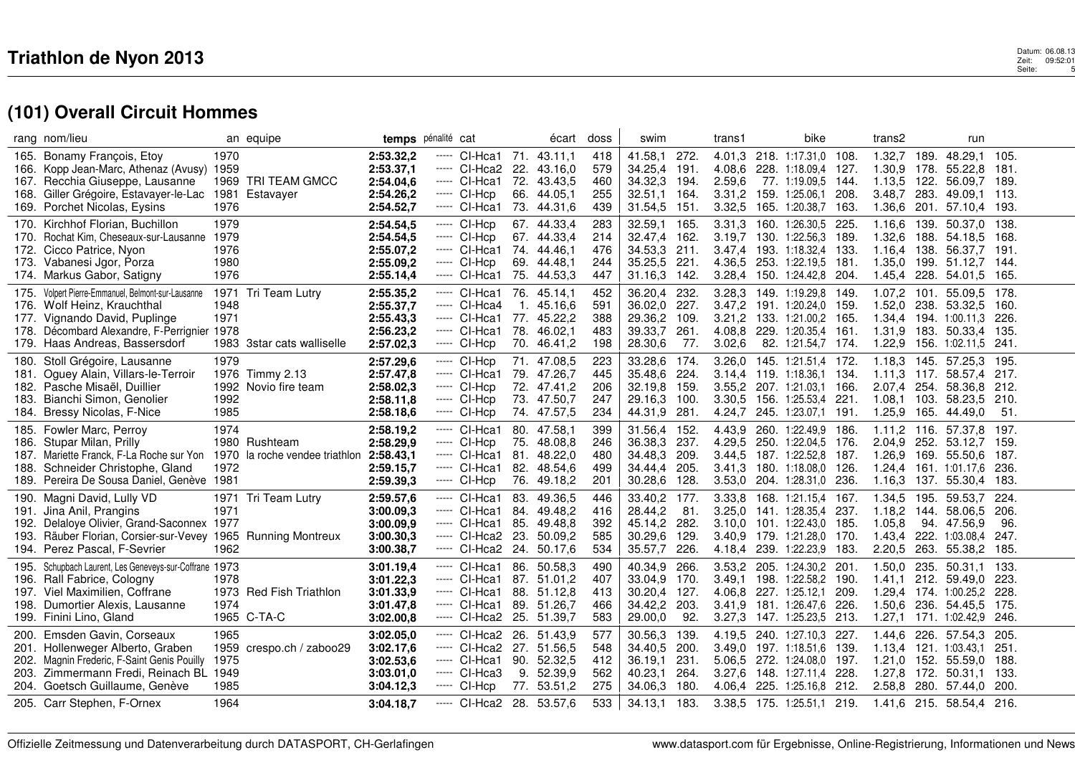## $\mathbf 3$  Datum: 06.08.13 Zeit: 09:52:01 Seite: 09:52:01 Seite: 09:52:01 Seite: 09:52:01 Seite: 09:52:01 Seite: 09:52:01 Seite: 09:52:01 Seite: 09:52:01 Seite: 09:52:01 Seite: 09:52:01 Seite: 09:52:01 Seite: 09:52:01 Seite: 13 Datum: 06.08<br>26:1: Zeit: 09:52<br>5: Seite:

|              | rang nom/lieu                                                                                                                                                                                                       |                                      | an equipe                                         | temps                                                                      | pénalité cat |                                                                                                                                     |                          | écart                                                                   | doss                                   | swim                                                                |                                      | trans1                     | bike                                                                                                                                                                             |               | trans2                                         |                      | run                                                                                                            |                                       |  |
|--------------|---------------------------------------------------------------------------------------------------------------------------------------------------------------------------------------------------------------------|--------------------------------------|---------------------------------------------------|----------------------------------------------------------------------------|--------------|-------------------------------------------------------------------------------------------------------------------------------------|--------------------------|-------------------------------------------------------------------------|----------------------------------------|---------------------------------------------------------------------|--------------------------------------|----------------------------|----------------------------------------------------------------------------------------------------------------------------------------------------------------------------------|---------------|------------------------------------------------|----------------------|----------------------------------------------------------------------------------------------------------------|---------------------------------------|--|
| 165.<br>168. | Bonamy François, Etoy<br>166. Kopp Jean-Marc, Athenaz (Avusy) 1959<br>167. Recchia Giuseppe, Lausanne<br>Giller Grégoire, Estavayer-le-Lac 1981 Estavayer<br>169. Porchet Nicolas, Eysins                           | 1970<br>1976                         | 1969 TRI TEAM GMCC                                | 2:53.32,2<br>2:53.37,1<br>2:54.04,6<br>2:54.26,2<br>2:54.52,7              | -----        | CI-Hca1 71.<br>----- CI-Hca2 22.<br>----- CI-Hca1<br>$---$ CI-Hcp<br>----- CI-Hca1                                                  | 72.                      | 43.11.1<br>43.16,0<br>43.43.5<br>66. 44.05,1<br>73. 44.31,6             | 418<br>579<br>460<br>255<br>439        | 41.58,1<br>34.25,4<br>34.32,3<br>32.51.1<br>31.54,5                 | 272.<br>191.<br>194.<br>164.<br>151. | 2.59,6<br>3.31,2<br>3.32,5 | 4.01,3 218. 1:17.31,0 108.<br>4.08,6 228. 1:18.09,4 127.<br>77. 1:19.09,5 144.<br>159. 1:25.06.1<br>165. 1:20.38,7                                                               | 208.<br>163.  | 1.32,7<br>1.13,5<br>3.48.7<br>1.36,6           | 189.                 | 48.29,1<br>1.30,9 178. 55.22,8<br>122. 56.09.7<br>283. 49.09.1<br>201. 57.10,4                                 | 105.<br>181.<br>189.<br>113.<br>193.  |  |
| 170.         | Kirchhof Florian, Buchillon<br>170. Rochat Kim, Cheseaux-sur-Lausanne<br>172. Cicco Patrice, Nyon<br>173. Vabanesi Jgor, Porza<br>174. Markus Gabor, Satigny                                                        | 1979<br>1979<br>1976<br>1980<br>1976 |                                                   | 2:54.54,5<br>2:54.54,5<br>2:55.07,2<br>2:55.09,2<br>2:55.14,4              |              | ----- CI-Hcp<br>$---$ CI-Hcp<br>----- CI-Hca1<br>----- CI-Hcp<br>----- CI-Hca1                                                      |                          | 67. 44.33,4<br>67. 44.33,4<br>74. 44.46,1<br>69. 44.48,1<br>75. 44.53,3 | 283<br>214<br>476<br>244<br>447        | 32.59.1<br>32.47,4<br>34.53,3<br>35.25,5<br>31.16,3                 | 165.<br>162.<br>211.<br>221.<br>142. | 3.31,3                     | 160. 1:26.30,5<br>3.19.7 130. 1:22.56.3 189.<br>3.47,4 193. 1:18.32,4<br>4.36.5 253. 1:22.19.5 181.<br>3.28,4 150. 1:24.42,8 204.                                                | 225.<br>133.  | 1.16,6<br>1.32,6<br>1.16,4<br>1.35,0<br>1.45,4 | 139.<br>138.<br>228. | 50.37.0<br>188. 54.18.5<br>56.37,7<br>199. 51.12,7<br>54.01.5                                                  | 138.<br>168.<br>191.<br>144.<br>165.  |  |
| 177.         | 175. Volpert Pierre-Emmanuel, Belmont-sur-Lausanne<br>176. Wolf Heinz, Krauchthal<br>Vignando David, Puplinge<br>178. Décombard Alexandre, F-Perrignier<br>179. Haas Andreas, Bassersdorf                           | 1948<br>1971<br>1978                 | 1971 Tri Team Lutry<br>1983 3star cats walliselle | 2:55.35,2<br>2:55.37,7<br>2:55.43,3<br>2:56.23,2<br>2:57.02,3              |              | ----- Cl-Hca1 76. 45.14,1<br>----- CI-Hca4<br>----- CI-Hca1<br>----- CI-Hca1<br>$---$ CI-Hcp                                        | 1.<br>77.                | 45.16,6<br>45.22,2<br>78. 46.02,1<br>70. 46.41,2                        | 452<br>591<br>388<br>483<br>198        | 36.20,4<br>36.02,0<br>29.36,2<br>39.33,7<br>28.30,6                 | 232<br>227.<br>109.<br>261.<br>77.   | 3.21,2<br>3.02.6           | 3.28,3 149. 1:19.29,8 149.<br>3.47,2 191. 1:20.24,0 159.<br>133. 1:21.00.2 165.<br>4.08,8 229. 1:20.35,4 161.<br>82. 1:21.54,7 174.                                              |               | 1.52,0<br>1.34,4<br>1.31,9<br>1.22,9           | 238.                 | 1.07,2 101. 55.09,5 178.<br>53.32,5<br>194. 1:00.11.3<br>183. 50.33,4<br>156. 1:02.11.5                        | 160.<br>226.<br>-135.<br>-241.        |  |
| 183.<br>184. | 180. Stoll Grégoire, Lausanne<br>181. Oguey Alain, Villars-le-Terroir<br>182. Pasche Misaël, Duillier<br>Bianchi Simon, Genolier<br>Bressy Nicolas, F-Nice                                                          | 1979<br>1992<br>1985                 | 1976 Timmy 2.13<br>1992 Novio fire team           | 2:57.29,6<br>2:57.47,8<br>2:58.02,3<br>2:58.11,8<br>2:58.18,6              |              | ----- CI-Hcp<br>$---$ CI-Hca1<br>----- CI-Hcp<br>$---$ CI-Hcp<br>----- CI-Hcp                                                       |                          | 71. 47.08,5<br>79. 47.26,7<br>72. 47.41.2<br>73. 47.50,7<br>74. 47.57,5 | 223<br>445<br>206<br>247<br>234        | 33.28.6<br>35.48,6<br>32.19,8 159.<br>29.16,3<br>44.31,9            | 174.<br>224.<br>100.<br>281.         | 4.24,7                     | 3.26,0 145. 1:21.51,4 172.<br>3.14,4 119. 1:18.36.1<br>3.55,2 207. 1:21.03,1<br>3.30,5 156. 1:25.53,4 221.<br>245. 1:23.07,1 191.                                                | -134.<br>166. | 2.07,4 254.<br>1.08,1<br>1.25,9                |                      | 1.18,3 145. 57.25,3<br>1.11,3 117. 58.57,4<br>58.36.8<br>103. 58.23,5<br>165. 44.49,0                          | -195.<br>217.<br>212.<br>210.<br>51.  |  |
| 186.<br>189. | 185. Fowler Marc, Perroy<br>Stupar Milan, Prilly<br>187. Mariette Franck, F-La Roche sur Yon 1970 la roche vendee triathlon 2:58.43,1<br>188. Schneider Christophe, Gland<br>Pereira De Sousa Daniel, Genève 1981   | 1974<br>1972                         | 1980 Rushteam                                     | 2:58.19,2<br>2:58.29,9<br>2:59.15,7<br>2:59.39,3                           |              | ---- CI-Hca1<br>$---$ CI-Hcp<br>----- CI-Hca1<br>----- CI-Hca1<br>----- CI-Hcp                                                      | 75.<br>81.<br>82.        | 80. 47.58,1<br>48.08.8<br>48.22,0<br>48.54,6<br>76. 49.18,2             | 399<br>246<br>480<br>499<br>201        | 31.56,4<br>36.38,3<br>34.48,3<br>34.44,4<br>30.28,6                 | 152.<br>237.<br>209.<br>205.<br>128. | 4.43,9                     | 260. 1:22.49,9 186.<br>4.29,5 250. 1:22.04,5 176.<br>3.44,5 187. 1:22.52,8 187.<br>3.41,3 180. 1:18.08,0 126.<br>3.53,0 204. 1:28.31,0 236.                                      |               | $1.11,2$ 116.<br>2.04,9<br>1.24,4<br>1.16,3    |                      | 57.37,8<br>252. 53.12,7<br>1.26.9 169. 55.50.6<br>161. 1:01.17,6<br>137. 55.30,4                               | 197.<br>159.<br>187.<br>236.<br>-183. |  |
| 192.<br>193. | 190. Magni David, Lully VD<br>191. Jina Anil, Prangins<br>Delaloye Olivier, Grand-Saconnex 1977<br>Räuber Florian, Corsier-sur-Vevey 1965 Running Montreux<br>194. Perez Pascal, F-Sevrier                          | 1971<br>1962                         | 1971 Tri Team Lutry                               | 2:59.57,6<br>3:00.09,3<br>3:00.09,9<br>3:00.30,3<br>3:00.38,7              |              | ----- CI-Hca1<br>----- CI-Hca1<br>---- CI-Hca1<br>----- CI-Hca2<br>$---$ CI-Hca2 24. 50.17,6                                        | 83.<br>84.<br>85.<br>23. | 49.36,5<br>49.48.2<br>49.48,8<br>50.09,2                                | 446<br>416<br>392<br>585<br>534        | 33.40,2 177.<br>28.44,2<br>45.14,2<br>30.29,6<br>35.57,7            | 81.<br>282.<br>129.<br>226.          |                            | 3.33,8 168. 1:21.15,4 167.<br>3.25,0 141. 1:28.35,4 237.<br>3.10,0 101. 1:22.43,0 185.<br>3.40.9 179. 1:21.28.0 170.<br>4.18,4 239. 1:22.23,9 183.                               |               | 1.34,5<br>1.05,8<br>1.43,4<br>2.20,5           | 195.<br>222.         | 59.53.7<br>1.18.2 144. 58.06.5<br>94. 47.56,9<br>1:03.08.4<br>263. 55.38,2 185.                                | 224.<br>206.<br>96.<br>247.           |  |
| 195.<br>198. | Schupbach Laurent, Les Geneveys-sur-Coffrane 1973<br>196. Rall Fabrice, Cologny<br>197. Viel Maximilien, Coffrane<br>Dumortier Alexis, Lausanne<br>199. Finini Lino, Gland                                          | 1978<br>1974                         | 1973 Red Fish Triathlon<br>1965 C-TA-C            | 3:01.19,4<br>3:01.22,3<br>3:01.33,9<br>3:01.47,8<br>3:02.00,8              |              | ----- CI-Hca1<br>$---$ CI-Hca1 87. 51.01.2<br>----- CI-Hca1<br>$---$ CI-Hca1 89. 51.26,7<br>$---$ CI-Hca2 25. 51.39.7               |                          | 86. 50.58,3<br>88. 51.12.8                                              | 490<br>407<br>413<br>466<br>583        | 40.34,9<br>33.04,9<br>30.20.4<br>34.42,2<br>29.00,0                 | 266.<br>170.<br>127.<br>203.<br>92.  |                            | 3.53,2 205. 1:24.30,2 201.<br>3.49.1 198. 1:22.58.2 190.<br>4.06,8 227. 1:25.12,1<br>3.41,9 181. 1:26.47,6 226.<br>3.27,3 147. 1:25.23,5 213.                                    | 209.          | 1.50,0<br>1.50,6<br>1.27,1                     | 235.                 | 50.31.1<br>1.41,1 212. 59.49,0<br>1.29.4 174. 1:00.25.2 228.<br>236. 54.45,5<br>171. 1:02.42,9                 | 133.<br>223.<br>175.<br>246.          |  |
| 200.         | Emsden Gavin, Corseaux<br>201. Hollenweger Alberto, Graben<br>202. Magnin Frederic, F-Saint Genis Pouilly<br>203. Zimmermann Fredi, Reinach BL 1949<br>204. Goetsch Guillaume, Genève<br>205. Carr Stephen, F-Ornex | 1965<br>1959<br>1975<br>1985<br>1964 | crespo.ch / zaboo29                               | 3:02.05,0<br>3:02.17,6<br>3:02.53,6<br>3:03.01,0<br>3:04.12,3<br>3:04.18.7 |              | ----- Cl-Hca2 26. 51.43,9<br>$---$ CI-Hca2 27. 51.56,5<br>---- CI-Hca1<br>---- CI-Hca3<br>$---$ CI-Hcp<br>$---$ CI-Hca2 28. 53.57,6 | 90.                      | 52.32,5<br>9. 52.39,9<br>77. 53.51,2                                    | 577<br>548<br>412<br>562<br>275<br>533 | 30.56,3<br>34.40,5<br>36.19,1<br>40.23,1<br>34.06.3<br>34.13,1 183. | 139.<br>200.<br>231.<br>264.<br>180. |                            | 4.19,5 240. 1:27.10,3 227.<br>3.49,0 197. 1:18.51,6 139.<br>5.06.5 272. 1:24.08.0 197.<br>3.27,6 148. 1:27.11,4 228.<br>4.06,4 225. 1:25.16,8 212.<br>3.38,5 175. 1:25.51,1 219. |               | 1.44,6<br>1.21,0<br>2.58,8                     | 226.<br>152.         | 57.54,3<br>1.13,4 121. 1:03.43,1<br>55.59.0<br>1.27,8 172. 50.31,1<br>280. 57.44,0<br>1.41,6 215. 58.54,4 216. | 205.<br>251.<br>188.<br>133.<br>200.  |  |
|              |                                                                                                                                                                                                                     |                                      |                                                   |                                                                            |              |                                                                                                                                     |                          |                                                                         |                                        |                                                                     |                                      |                            |                                                                                                                                                                                  |               |                                                |                      |                                                                                                                |                                       |  |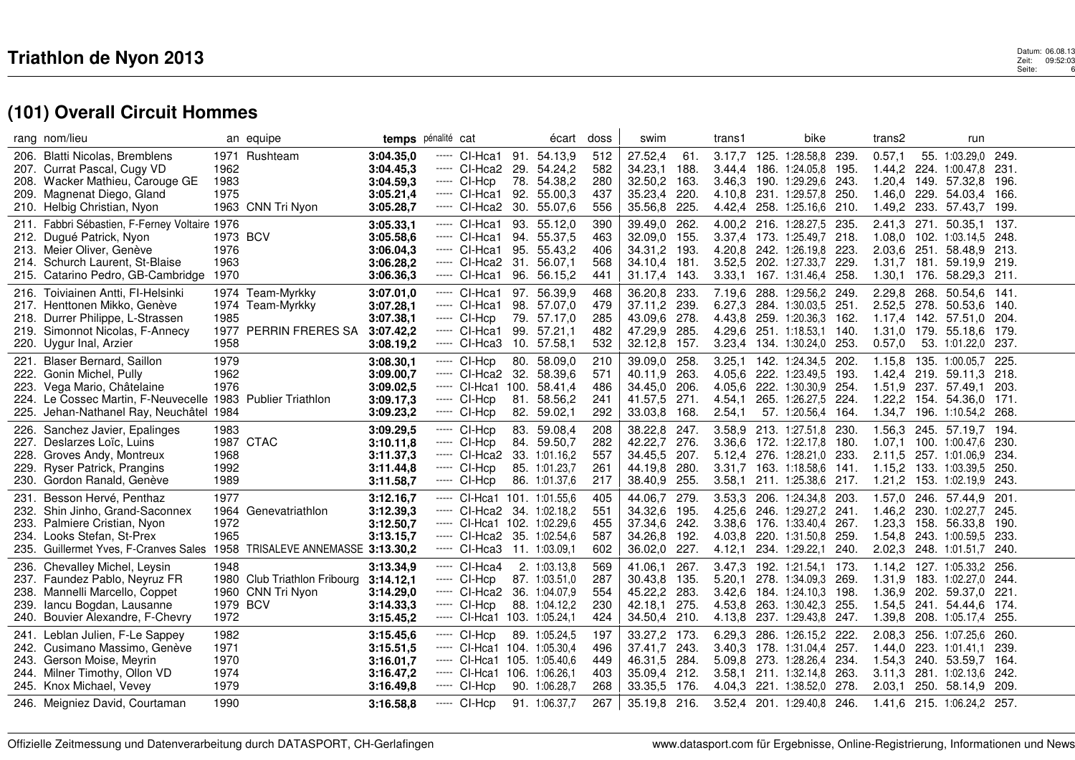|      | rang nom/lieu                                                                                                                                                                                           |                                              | an equipe                                                     |                                                                            | temps pénalité cat                                                                                                                          |                   | écart                                                                   | doss                                   | swim                                                                     |                                       | trans1                               | bike                                                                                                                                                |                              | trans2                                         |              | run                                                                                                         |                                       |  |
|------|---------------------------------------------------------------------------------------------------------------------------------------------------------------------------------------------------------|----------------------------------------------|---------------------------------------------------------------|----------------------------------------------------------------------------|---------------------------------------------------------------------------------------------------------------------------------------------|-------------------|-------------------------------------------------------------------------|----------------------------------------|--------------------------------------------------------------------------|---------------------------------------|--------------------------------------|-----------------------------------------------------------------------------------------------------------------------------------------------------|------------------------------|------------------------------------------------|--------------|-------------------------------------------------------------------------------------------------------------|---------------------------------------|--|
|      | 206. Blatti Nicolas, Bremblens<br>207. Currat Pascal, Cugy VD<br>208. Wacker Mathieu, Carouge GE<br>209. Magnenat Diego, Gland<br>210. Helbig Christian, Nyon                                           | 1971<br>1962<br>1983<br>1975                 | Rushteam<br>1963 CNN Tri Nyon                                 | 3:04.35,0<br>3:04.45.3<br>3:04.59,3<br>3:05.21,4<br>3:05.28,7              | CI-Hca1<br>-----<br>----- CI-Hca2 29. 54.24.2<br>----- CI-Hcp<br>----- CI-Hca1<br>$---$ CI-Hca2 30. 55.07,6                                 | 91.<br>78.<br>92. | 54.13,9<br>54.38,2<br>55.00,3                                           | 512<br>582<br>280<br>437<br>556        | 27.52,4<br>34.23.1<br>32.50,2<br>35.23,4<br>35.56,8                      | 61.<br>188.<br>163.<br>220.<br>225.   | 3.17,7<br>3.46,3<br>4.10.8           | 125. 1:28.58,8<br>3.44.4 186. 1:24.05.8<br>190. 1:29.29,6<br>231. 1:29.57,8<br>4.42,4 258. 1:25.16,6 210.                                           | 239.<br>195.<br>243.<br>250. | 0.57,1<br>1.46.0<br>1.49,2                     | 229.         | 55. 1:03.29,0<br>1.44.2 224 1:00.47.8<br>1.20,4 149. 57.32,8<br>54.03.4<br>233. 57.43,7                     | 249.<br>231.<br>-196.<br>166.<br>199. |  |
|      | 211. Fabbri Sébastien, F-Ferney Voltaire 1976<br>212. Dugué Patrick, Nyon<br>213. Meier Oliver, Genève<br>214. Schurch Laurent, St-Blaise<br>215. Catarino Pedro, GB-Cambridge                          | 1973 BCV<br>1976<br>1963<br>1970             |                                                               | 3:05.33,1<br>3:05.58,6<br>3:06.04,3<br>3:06.28,2<br>3:06.36,3              | ----- CI-Hca1<br>----- CI-Hca1<br>----- CI-Hca1<br>$---$ CI-Hca2 31.<br>----- CI-Hca1                                                       | 94.<br>95.        | 93. 55.12,0<br>55.37,5<br>55.43,2<br>56.07.1<br>96. 56.15,2             | 390<br>463<br>406<br>568<br>441        | 39.49,0<br>32.09,0<br>34.31,2<br>34.10.4<br>31.17,4                      | 262.<br>155.<br>193.<br>181.<br>143.  | 4.20,8 242.<br>3.33,1                | 4.00,2 216. 1:28.27,5<br>3.37,4 173. 1:25.49,7 218.<br>1:26.19,8<br>3.52.5 202. 1:27.33.7<br>167. 1:31.46,4                                         | 235.<br>223.<br>229.<br>258. | 2.41,3<br>1.08,0<br>2.03,6<br>1.30,1           | 271.<br>251. | 50.35,1<br>102. 1:03.14.5<br>58.48.9<br>1.31,7 181. 59.19,9 219.<br>176. 58.29,3 211.                       | 137.<br>248.<br>213.                  |  |
|      | 216. Toiviainen Antti, FI-Helsinki<br>217. Henttonen Mikko, Genève<br>218. Durrer Philippe, L-Strassen<br>219. Simonnot Nicolas, F-Annecy<br>220. Uygur Inal, Arzier                                    | 1985<br>1958                                 | 1974 Team-Myrkky<br>1974 Team-Myrkky<br>1977 PERRIN FRERES SA | 3:07.01,0<br>3:07.28,1<br>3:07.38,1<br>3:07.42,2<br>3:08.19,2              | ---- CI-Hca1<br>---- CI-Hca1<br>$---$ CI-Hcp<br>---- CI-Hca1<br>$---$ CI-Hca3                                                               |                   | 97. 56.39,9<br>98. 57.07,0<br>79. 57.17,0<br>99. 57.21,1<br>10. 57.58,1 | 468<br>479<br>285<br>482<br>532        | 36.20,8<br>37.11,2<br>43.09.6<br>47.29,9<br>32.12,8                      | 233.<br>239.<br>278.<br>285.<br>157.  | 6.27,3<br>4.43.8<br>3.23,4           | 7.19,6 288. 1:29.56,2 249.<br>284. 1:30.03,5<br>259. 1:20.36,3<br>4.29,6 251. 1:18.53,1 140.<br>134. 1:30.24,0                                      | 251.<br>162.<br>253.         | 2.29,8<br>2.52,5<br>1.17,4<br>0.57,0           | 278.<br>142. | 268. 50.54,6 141.<br>50.53.6<br>57.51.0<br>1.31.0 179. 55.18.6 179.<br>53. 1:01.22.0 237.                   | 140.<br>204.                          |  |
|      | 221. Blaser Bernard, Saillon<br>222. Gonin Michel, Pully<br>223. Vega Mario, Châtelaine<br>224. Le Cossec Martin, F-Neuvecelle 1983 Publier Triathlon<br>225. Jehan-Nathanel Ray, Neuchâtel 1984        | 1979<br>1962<br>1976                         |                                                               | 3:08.30,1<br>3:09.00,7<br>3:09.02,5<br>3:09.17,3<br>3:09.23,2              | ----- CI-Hcp<br>$---$ CI-Hca2 32. 58.39,6<br>----- CI-Hca1<br>----- CI-Hcp<br>----- CI-Hcp                                                  |                   | 80. 58.09,0<br>100. 58.41,4<br>81. 58.56,2<br>82. 59.02,1               | 210<br>571<br>486<br>241<br>292        | 39.09,0<br>40.11,9<br>34.45.0<br>41.57,5<br>33.03,8                      | 258.<br>263.<br>206.<br>271.<br>168.  | 3.25,1<br>4.05.6<br>4.54,1<br>2.54,1 | 142. 1:24.34,5 202.<br>4.05,6 222. 1:23.49,5<br>222. 1:30.30.9 254.<br>265. 1:26.27,5 224.<br>57. 1:20.56,4                                         | 193.<br>164.                 | 1.15,8<br>1.42,4 219.<br>1.34,7                |              | 135. 1:00.05,7<br>59.11.3 218.<br>1.51,9 237. 57.49,1<br>1.22,2 154. 54.36,0<br>196. 1:10.54,2              | 225.<br>203.<br>-171.<br>268.         |  |
| 227. | 226. Sanchez Javier, Epalinges<br>Deslarzes Loïc, Luins<br>228. Groves Andy, Montreux<br>229. Ryser Patrick, Prangins<br>230. Gordon Ranald, Genève                                                     | 1983<br>1968<br>1992<br>1989                 | 1987 CTAC                                                     | 3:09.29,5<br>3:10.11,8<br>3:11.37,3<br>3:11.44,8<br>3:11.58,7              | ----- CI-Hcp<br>----- CI-Hcp<br>$---$ CI-Hca2 33. 1:01.16.2<br>$---$ CI-Hcp<br>$---$ CI-Hcp                                                 |                   | 83. 59.08,4<br>84. 59.50,7<br>85. 1:01.23,7<br>86. 1:01.37,6            | 208<br>282<br>557<br>261<br>217        | 38.22,8<br>42.22,7<br>34.45,5<br>44.19,8<br>38.40,9                      | 247.<br>276.<br>-207.<br>280.<br>255. | 3.36,6<br>3.58,1                     | 3.58,9 213. 1:27.51,8<br>172. 1:22.17,8<br>5.12,4 276. 1:28.21,0 233.<br>3.31,7 163. 1:18.58,6 141.<br>211. 1:25.38,6 217.                          | 230.<br>180.                 | 1.56,3<br>1.07,1<br>2.11.5<br>1.21,2           |              | 245. 57.19,7 194.<br>100. 1:00.47,6<br>257. 1:01.06,9<br>1.15,2 133. 1:03.39,5<br>153. 1:02.19,9            | 230.<br>234.<br>-250.<br>243.         |  |
|      | 231. Besson Hervé, Penthaz<br>232. Shin Jinho, Grand-Saconnex<br>233. Palmiere Cristian, Nyon<br>234. Looks Stefan, St-Prex<br>235. Guillermet Yves, F-Cranves Sales 1958 TRISALEVE ANNEMASSE 3:13.30.2 | 1977<br>1972<br>1965                         | 1964 Genevatriathlon                                          | 3:12.16,7<br>3:12.39,3<br>3:12.50,7<br>3:13.15,7                           | $---$ CI-Hca1 101. 1:01.55.6<br>----- CI-Hca2 34. 1:02.18,2<br>$---$ CI-Hca1 102. 1:02.29.6<br>----- Cl-Hca2 35. 1:02.54,6<br>$---$ CI-Hca3 |                   | 11. 1:03.09.1                                                           | 405<br>551<br>455<br>587<br>602        | 44.06,7<br>34.32,6<br>37.34,6<br>34.26,8<br>36.02,0                      | 279.<br>195.<br>242.<br>192.<br>227.  | 4.25,6<br>4.03,8<br>4.12,1           | 3.53,3 206. 1:24.34,8 203.<br>246. 1:29.27,2 241.<br>3.38,6 176. 1:33.40,4 267.<br>220. 1:31.50,8<br>234. 1:29.22,1                                 | 259.<br>240.                 | 1.57,0<br>1.46,2<br>1.23,3<br>1.54,8<br>2.02,3 |              | 246. 57.44,9<br>230. 1:02.27,7<br>158. 56.33,8<br>243. 1:00.59,5<br>248. 1:01.51,7                          | 201.<br>245.<br>190.<br>233.<br>240.  |  |
| 239. | 236. Chevalley Michel, Leysin<br>237. Faundez Pablo, Neyruz FR<br>238. Mannelli Marcello, Coppet<br>lancu Bogdan, Lausanne<br>240. Bouvier Alexandre, F-Chevry                                          | 1948<br>1979 BCV<br>1972                     | 1980 Club Triathlon Fribourg<br>1960 CNN Tri Nyon             | 3:13.34,9<br>3:14.12,1<br>3:14.29,0<br>3:14.33,3<br>3:15.45,2              | ----- CI-Hca4<br>----- CI-Hcp<br>----- CI-Hca2<br>----- CI-Hcp<br>$---$ Cl-Hca1 103. 1:05.24,1                                              |                   | 2. 1:03.13.8<br>87. 1:03.51,0<br>36. 1:04.07,9<br>88. 1:04.12,2         | 569<br>287<br>554<br>230<br>424        | 41.06.1<br>30.43,8<br>45.22,2<br>42.18.1<br>34.50,4 210.                 | 267.<br>135.<br>283.<br>275.          | 3.47,3<br>5.20,1<br>3.42.6<br>4.53,8 | 192. 1:21.54,1<br>278. 1:34.09,3 269.<br>184. 1:24.10.3<br>263. 1:30.42,3<br>4.13,8 237. 1:29.43,8 247.                                             | 173.<br>198.<br>255.         | 1.14.2<br>1.31,9<br>1.36,9<br>1.54,5<br>1.39,8 | 241.         | 127. 1:05.33.2<br>183. 1:02.27,0 244.<br>202. 59.37,0<br>54.44.6<br>208. 1:05.17,4 255.                     | 256.<br>221.<br>174.                  |  |
|      | 241. Leblan Julien, F-Le Sappey<br>242. Cusimano Massimo, Genève<br>243. Gerson Moise, Meyrin<br>244. Milner Timothy, Ollon VD<br>245. Knox Michael, Vevey<br>246. Meigniez David, Courtaman            | 1982<br>1971<br>1970<br>1974<br>1979<br>1990 |                                                               | 3:15.45,6<br>3:15.51.5<br>3:16.01,7<br>3:16.47,2<br>3:16.49,8<br>3:16.58.8 | ---- CI-Hcp<br>$---$ CI-Hca1 104. 1:05.30.4<br>----- CI-Hca1<br>----- Cl-Hca1 106. 1:06.26,1<br>---- CI-Hcp<br>----- CI-Hcp                 |                   | 89. 1:05.24.5<br>105. 1:05.40,6<br>90. 1:06.28,7<br>91. 1:06.37,7       | 197<br>496<br>449<br>403<br>268<br>267 | 33.27,2<br>37.41,7<br>46.31,5<br>35.09,4 212.<br>33.35,5<br>35.19,8 216. | 173.<br>243.<br>284.<br>176.          | 6.29,3<br>3.58,1                     | 286. 1:26.15,2<br>3.40.3 178. 1:31.04.4<br>5.09,8 273. 1:28.26,4 234.<br>211. 1:32.14,8 263.<br>4.04.3 221. 1:38.52.0<br>3.52,4 201. 1:29.40,8 246. | 222.<br>257.<br>278.         | 2.08,3<br>1.44,0<br>1.54,3<br>3.11,3<br>2.03,1 | 240.         | 256. 1:07.25,6<br>223. 1:01.41.1<br>53.59.7<br>281. 1:02.13,6<br>250. 58.14,9<br>1.41.6 215. 1:06.24.2 257. | 260.<br>239.<br>164.<br>242.<br>209.  |  |
|      |                                                                                                                                                                                                         |                                              |                                                               |                                                                            |                                                                                                                                             |                   |                                                                         |                                        |                                                                          |                                       |                                      |                                                                                                                                                     |                              |                                                |              |                                                                                                             |                                       |  |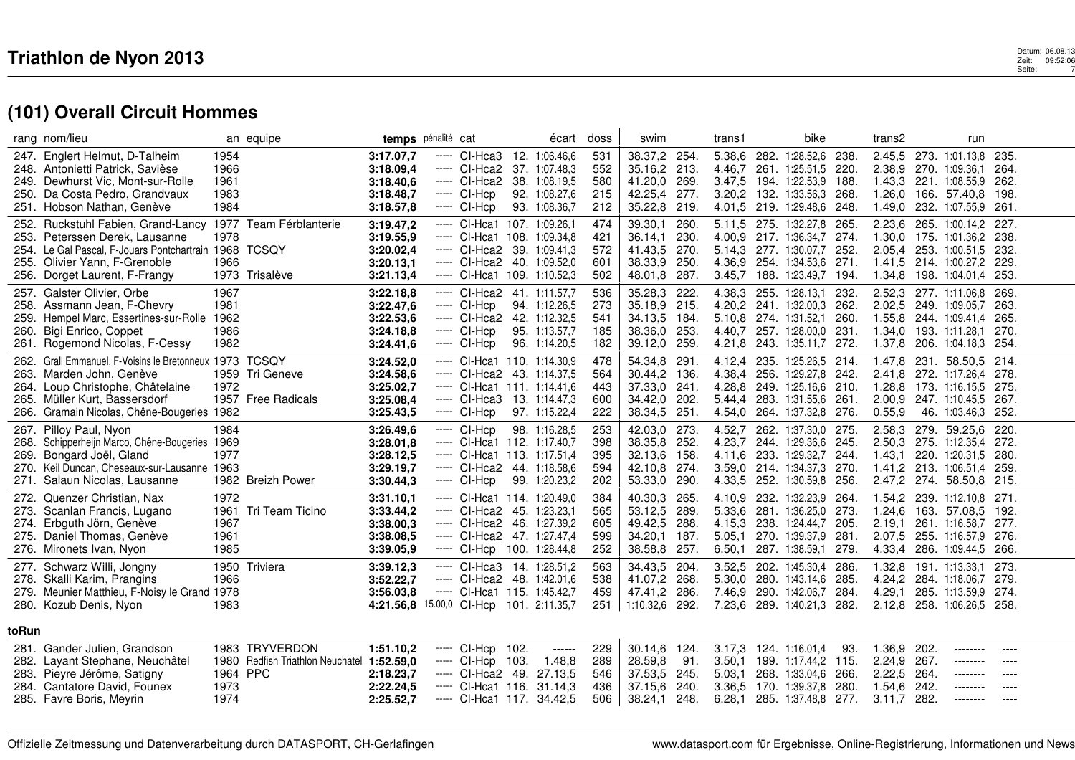| rang nom/lieu                                                                                                                                                                                                                | an equipe                                                                                   | temps pénalité cat                                                                                                                                                                                                          | écart                                                                             | doss                            | swim                                                                                    | trans1                                                                                                     | bike                                                                                                                          | trans2                                                                                                          | run                                                            |                                       |
|------------------------------------------------------------------------------------------------------------------------------------------------------------------------------------------------------------------------------|---------------------------------------------------------------------------------------------|-----------------------------------------------------------------------------------------------------------------------------------------------------------------------------------------------------------------------------|-----------------------------------------------------------------------------------|---------------------------------|-----------------------------------------------------------------------------------------|------------------------------------------------------------------------------------------------------------|-------------------------------------------------------------------------------------------------------------------------------|-----------------------------------------------------------------------------------------------------------------|----------------------------------------------------------------|---------------------------------------|
| 247. Englert Helmut, D-Talheim<br>248. Antonietti Patrick, Savièse<br>249. Dewhurst Vic, Mont-sur-Rolle<br>Da Costa Pedro, Grandvaux<br>250.<br>251. Hobson Nathan, Genève                                                   | 1954<br>1966<br>1961<br>1983<br>1984                                                        | CI-Hca3<br>3:17.07.7<br>-----<br>----- CI-Hca2<br>3:18.09,4<br>3:18.40,6<br>----- CI-Hca2<br>3:18.48,7<br>----- CI-Hcp<br>3:18.57,8<br>----- CI-Hcp                                                                         | 12. 1:06.46.6<br>37. 1:07.48,3<br>38. 1:08.19,5<br>92. 1:08.27.6<br>93. 1:08.36,7 | 531<br>552<br>580<br>215<br>212 | 38.37,2 254.<br>35.16,2 213.<br>41.20,0 269.<br>42.25.4<br>277.<br>35.22,8 219.         | 5.38.6<br>282.<br>4.46.7<br>3.47,5 194. 1:22.53,9<br>3.20.2                                                | 1:28.52,6<br>238<br>220.<br>261. 1:25.51,5<br>188.<br>132. 1:33.56.3<br>268.<br>4.01,5 219. 1:29.48,6 248.                    | 2.45.5 273. 1:01.13.8<br>2.38,9 270. 1:09.36,1<br>1.43,3 221. 1:08.55,9<br>1.26.0<br>1.49,0 232. 1:07.55,9 261. | 166. 57.40.8                                                   | 235.<br>264.<br>262.<br>198.          |
| Ruckstuhl Fabien, Grand-Lancy 1977 Team Férblanterie<br>252.<br>253. Peterssen Derek, Lausanne<br>254. Le Gal Pascal, F-Jouars Pontchartrain 1968 TCSQY<br>255. Olivier Yann, F-Grenoble<br>Dorget Laurent, F-Frangy<br>256. | 1978<br>1966<br>1973 Trisalève                                                              | ----- Cl-Hca1 107. 1:09.26,1<br>3:19.47,2<br>3:19.55,9<br>$---$ CI-Hca1 108. 1:09.34,8<br>3:20.02,4<br>$---$ CI-Hca2 39. 1:09.41.3<br>3:20.13,1<br>$---$ CI-Hca2 40. 1:09.52.0<br>$---$ CI-Hea1 109. 1:10.52.3<br>3:21.13,4 |                                                                                   | 474<br>421<br>572<br>601<br>502 | 39.30,1<br>260.<br>36.14,1<br>230.<br>41.43,5 270.<br>38.33,9 250.<br>48.01,8 287.      | 5.11.5 275. 1:32.27.8<br>4.00,9 217. 1:36.34,7<br>5.14.3 277. 1:30.07.7<br>3.45,7                          | 265<br>274.<br>252.<br>4.36,9 254. 1:34.53,6 271.<br>188. 1:23.49,7<br>194.                                                   | 2.23,6<br>1.30,0 175. 1:01.36,2<br>2.05,4<br>1.41,5 214. 1:00.27,2<br>1.34,8 198. 1:04.01,4                     | 265. 1:00.14.2<br>253. 1:00.51.5                               | 227.<br>238.<br>-232.<br>229.<br>253. |
| 257. Galster Olivier, Orbe<br>258. Assmann Jean, F-Chevry<br>259. Hempel Marc, Essertines-sur-Rolle<br>Bigi Enrico, Coppet<br>260.<br>261. Rogemond Nicolas, F-Cessy                                                         | 1967<br>1981<br>1962<br>1986<br>1982                                                        | ----- CI-Hca2 41. 1:11.57,7<br>3:22.18,8<br>3:22.47,6<br>$---$ CI-Hcp<br>3:22.53,6<br>$---$ CI-Hca2 42. 1:12.32.5<br>3:24.18,8<br>$---$ CI-Hcp<br>3:24.41,6<br>----- CI-Hcp                                                 | 94. 1:12.26,5<br>95. 1:13.57,7<br>96. 1:14.20,5                                   | 536<br>273<br>541<br>185<br>182 | 35.28.3 222.<br>35.18,9 215.<br>34.13,5 184.<br>38.36.0 253.<br>39.12,0 259.            | 4.38,3 255. 1:28.13,1<br>4.20,2 241. 1:32.00,3<br>5.10.8 274. 1:31.52.1<br>4.40.7 257, 1:28.00.0<br>4.21,8 | 232.<br>262.<br>260.<br>231.<br>243. 1:35.11,7<br>272.                                                                        | 2.52,3 277. 1:11.06,8<br>2.02,5<br>1.55,8<br>1.34.0 193. 1:11.28.1<br>1.37,8                                    | 249. 1:09.05,7<br>244. 1:09.41.4<br>206. 1:04.18.3             | 269.<br>263.<br>265.<br>270.<br>-254. |
| 262. Grall Emmanuel, F-Voisins le Bretonneux 1973 TCSQY<br>263. Marden John, Genève<br>264. Loup Christophe, Châtelaine<br>265. Müller Kurt, Bassersdorf<br>266. Gramain Nicolas, Chêne-Bougeries 1982                       | 1959 Tri Geneve<br>1972<br>1957 Free Radicals                                               | $---$ CI-Hca1 110. 1:14.30,9<br>3:24.52,0<br>3:24.58,6<br>$---$ CI-Hca2 43. 1:14.37,5<br>3:25.02,7<br>$---$ CI-Hea1 111. 1:14.41.6<br>3:25.08,4<br>$---$ CI-Hca3 13. 1:14.47.3<br>3:25.43,5<br>$---$ CI-Hcp                 | 97. 1:15.22,4                                                                     | 478<br>564<br>443<br>600<br>222 | 54.34,8 291.<br>30.44,2 136.<br>37.33.0 241.<br>34.42,0 202.<br>38.34,5 251.            | 4.54,0 264. 1:37.32,8                                                                                      | 4.12,4 235. 1:25.26,5 214.<br>4.38,4 256. 1:29.27,8 242.<br>4.28,8 249. 1:25.16,6 210.<br>5.44,4 283. 1:31.55,6 261.<br>276.  | 1.47,8<br>2.41,8 272. 1:17.26,4 278.<br>1.28.8 173. 1:16.15.5 275.<br>2.00.9<br>0.55,9                          | 231. 58.50,5 214.<br>247. 1:10.45.5 267.<br>46. 1:03.46,3 252. |                                       |
| 267. Pilloy Paul, Nyon<br>Schipperheijn Marco, Chêne-Bougeries 1969<br>268.<br>269. Bongard Joël, Gland<br>270. Keil Duncan, Cheseaux-sur-Lausanne 1963<br>271. Salaun Nicolas, Lausanne                                     | 1984<br>1977<br>1982 Breizh Power                                                           | 3:26.49,6<br>----- CI-Hcp<br>3:28.01,8<br>----- CI-Hca1 112. 1:17.40,7<br>$---$ CI-Hca1 113. 1:17.51,4<br>3:28.12,5<br>3:29.19,7<br>$---$ CI-Hca2 44. 1:18.58.6<br>3:30.44,3<br>----- CI-Hcp                                | 98. 1:16.28,5<br>99. 1:20.23,2                                                    | 253<br>398<br>395<br>594<br>202 | 42.03,0 273.<br>38.35,8 252.<br>32.13,6 158.<br>42.10,8 274.<br>53.33,0 290.            | 4.52,7<br>4.23,7 244. 1:29.36,6<br>4.11,6 233. 1:29.32,7<br>3.59,0 214. 1:34.37,3<br>4.33,5 252. 1:30.59,8 | 262. 1:37.30,0<br>275<br>245.<br>244.<br>270.<br>256.                                                                         | 2.58,3<br>2.50,3<br>1.43,1 220. 1:20.31,5 280.<br>1.41,2 213. 1:06.51,4<br>2.47,2 274. 58.50,8 215.             | 279. 59.25,6<br>275. 1:12.35,4                                 | 220.<br>272.<br>-259.                 |
| 272. Quenzer Christian, Nax<br>273. Scanlan Francis, Lugano<br>274. Erbguth Jörn, Genève<br>275. Daniel Thomas, Genève<br>276. Mironets Ivan, Nyon                                                                           | 1972<br>Tri Team Ticino<br>1961<br>1967<br>1961<br>1985                                     | $---$ CI-Hca1 114. 1:20.49.0<br>3:31.10,1<br>3:33.44,2<br>----- CI-Hca2 45. 1:23.23,1<br>3:38.00,3<br>$---$ CI-Hca2 46. 1:27.39.2<br>3:38.08,5<br>$---$ CI-Hca2 47. 1:27.47.4<br>3:39.05,9<br>$---$ CI-Hcp 100. 1:28.44,8   |                                                                                   | 384<br>565<br>605<br>599<br>252 | 40.30,3 265.<br>289.<br>53.12,5<br>49.42,5 288.<br>34.20,1<br>187.<br>38.58,8 257.      | 4.10.9 232. 1:32.23.9<br>5.33,6<br>4.15.3 238. 1:24.44.7<br>5.05.1<br>6.50,1                               | 264.<br>273.<br>281. 1:36.25,0<br>205.<br>281.<br>270. 1:39.37,9<br>287. 1:38.59,1<br>279.                                    | 1.54,2 239. 1:12.10,8 271.<br>1.24,6<br>2.19,1<br>2.07,5<br>4.33,4 286. 1:09.44,5 266.                          | 163. 57.08,5<br>261. 1:16.58.7<br>255. 1:16.57,9               | 192.<br>-277.<br>276.                 |
| 277. Schwarz Willi, Jongny<br>278. Skalli Karim, Prangins<br>279. Meunier Matthieu, F-Noisy le Grand 1978<br>280. Kozub Denis, Nyon                                                                                          | 1950 Triviera<br>1966<br>1983                                                               | $---$ CI-Hca3 14. 1:28.51.2<br>3:39.12,3<br>$---$ CI-Hca2 48. 1:42.01,6<br>3:52.22,7<br>3:56.03,8<br>$---$ CI-Hca1 115. 1:45.42,7<br>4:21.56,8 15.00,0 CI-Hcp 101. 2:11.35,7                                                |                                                                                   | 563<br>538<br>459<br>251        | 34.43.5 204.<br>41.07,2 268.<br>47.41,2<br>286.<br>1:10.32,6 292.                       | 3.52.5<br>7.46.9<br>7.23,6 289. 1:40.21,3                                                                  | 202. 1:45.30,4<br>286.<br>5.30,0 280. 1:43.14,6 285.<br>290. 1:42.06,7<br>284.<br>282.                                        | 1.32,8<br>4.24,2 284. 1:18.06,7<br>4.29,1<br>2.12.8                                                             | 191. 1:13.33.1<br>285. 1:13.59,9<br>258. 1:06.26,5 258.        | 273.<br>279.<br>274.                  |
| toRun<br>281. Gander Julien, Grandson<br>282. Layant Stephane, Neuchâtel<br>283. Pieyre Jérôme, Satigny<br>284. Cantatore David, Founex<br>285. Favre Boris, Meyrin                                                          | 1983 TRYVERDON<br>1980<br>Redfish Triathlon Neuchatel 1:52.59,0<br>1964 PPC<br>1973<br>1974 | 1:51.10,2<br>$---$ Cl-Hcp 102.<br>$---$ CI-Hcp 103.<br>2:18.23,7<br>$---$ CI-Hca2 49. 27.13,5<br>$---$ CI-Hea1 116. 31.14,3<br>2:22.24,5<br>$---$ CI-Hea1 117. 34.42.5<br>2:25.52,7                                         | ------<br>1.48,8                                                                  | 229<br>289<br>546<br>436<br>506 | 30.14,6 124.<br>28.59,8<br>91.<br>37.53.5<br>245.<br>37.15.6<br>240.<br>38.24,1<br>248. | 3.17,3<br>3.50,1<br>5.03.1<br>3.36,5<br>6.28,1                                                             | 124. 1:16.01,4<br>93.<br>199. 1:17.44,2<br>115.<br>268. 1:33.04.6<br>266.<br>170. 1:39.37.8<br>280.<br>285. 1:37.48.8<br>277. | 1.36,9<br>202.<br>267.<br>2.24.9<br>2.22.5<br>-264.<br>1.54,6<br>242.<br>$3.11,7$ 282.                          | --------<br>--------<br>--------<br>--------<br>--------       | ----<br>----<br>----<br>$---$         |